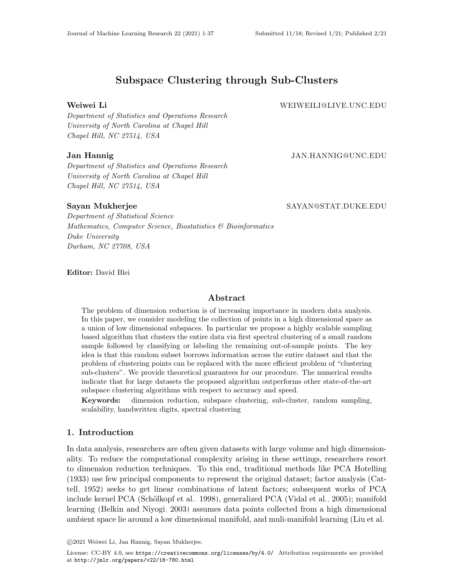# Subspace Clustering through Sub-Clusters

Weiwei Li WEIWEILI@LIVE.UNC.EDU

Department of Statistics and Operations Research University of North Carolina at Chapel Hill Chapel Hill, NC 27514, USA

## Jan Hannig JAN.HANNIG@UNC.EDU

Department of Statistics and Operations Research University of North Carolina at Chapel Hill Chapel Hill, NC 27514, USA

#### Sayan Mukherjee SAYAN@STAT.DUKE.EDU

Department of Statistical Science Mathematics, Computer Science, Biostatistics & Bioinformatics Duke University Durham, NC 27708, USA

Editor: David Blei

#### Abstract

The problem of dimension reduction is of increasing importance in modern data analysis. In this paper, we consider modeling the collection of points in a high dimensional space as a union of low dimensional subspaces. In particular we propose a highly scalable sampling based algorithm that clusters the entire data via first spectral clustering of a small random sample followed by classifying or labeling the remaining out-of-sample points. The key idea is that this random subset borrows information across the entire dataset and that the problem of clustering points can be replaced with the more efficient problem of "clustering sub-clusters". We provide theoretical guarantees for our procedure. The numerical results indicate that for large datasets the proposed algorithm outperforms other state-of-the-art subspace clustering algorithms with respect to accuracy and speed.

Keywords: dimension reduction, subspace clustering, sub-cluster, random sampling, scalability, handwritten digits, spectral clustering

## 1. Introduction

In data analysis, researchers are often given datasets with large volume and high dimensionality. To reduce the computational complexity arising in these settings, researchers resort to dimension reduction techniques. To this end, traditional methods like PCA [Hotelling](#page-34-0) [\(1933\)](#page-34-0) use few principal components to represent the original dataset; factor analysis [\(Cat](#page-34-1)[tell, 1952\)](#page-34-1) seeks to get linear combinations of latent factors; subsequent works of PCA include kernel PCA (Schölkopf et al., 1998), generalized PCA [\(Vidal et al., 2005\)](#page-36-1); manifold learning [\(Belkin and Niyogi, 2003\)](#page-34-2) assumes data points collected from a high dimensional ambient space lie around a low dimensional manifold, and muli-manifold learning [\(Liu et al.,](#page-35-1)

c 2021 Weiwei Li, Jan Hannig, Sayan Mukherjee.

License: CC-BY 4.0, see <https://creativecommons.org/licenses/by/4.0/>. Attribution requirements are provided at <http://jmlr.org/papers/v22/18-780.html>.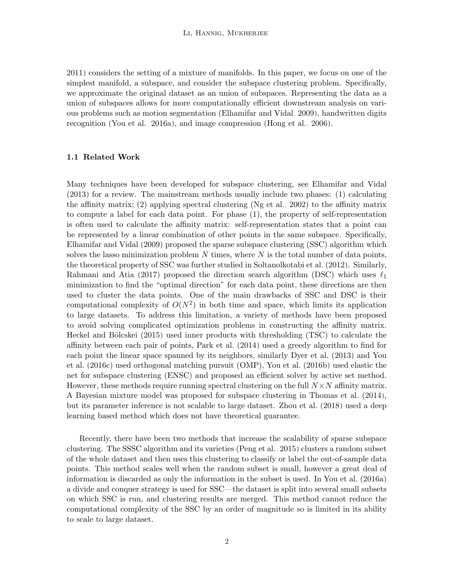[2011\)](#page-35-1) considers the setting of a mixture of manifolds. In this paper, we focus on one of the simplest manifold, a subspace, and consider the subspace clustering problem. Specifically, we approximate the original dataset as an union of subspaces. Representing the data as a union of subspaces allows for more computationally efficient downstream analysis on various problems such as motion segmentation [\(Elhamifar and Vidal, 2009\)](#page-34-3), handwritten digits recognition [\(You et al., 2016a\)](#page-36-2), and image compression [\(Hong et al., 2006\)](#page-34-4).

#### 1.1 Related Work

Many techniques have been developed for subspace clustering, see [Elhamifar and Vidal](#page-34-5) [\(2013\)](#page-34-5) for a review. The mainstream methods usually include two phases: (1) calculating the affinity matrix; (2) applying spectral clustering [\(Ng et al., 2002\)](#page-35-2) to the affinity matrix to compute a label for each data point. For phase (1), the property of self-representation is often used to calculate the affinity matrix: self-representation states that a point can be represented by a linear combination of other points in the same subspace. Specifically, [Elhamifar and Vidal](#page-34-3) [\(2009\)](#page-34-3) proposed the sparse subspace clustering (SSC) algorithm which solves the lasso minimization problem  $N$  times, where  $N$  is the total number of data points, the theoretical property of SSC was further studied in [Soltanolkotabi et al.](#page-35-3) [\(2012\)](#page-35-3). Similarly, [Rahmani and Atia](#page-35-4) [\(2017\)](#page-35-4) proposed the direction search algorithm (DSC) which uses  $\ell_1$ minimization to find the "optimal direction" for each data point, these directions are then used to cluster the data points. One of the main drawbacks of SSC and DSC is their computational complexity of  $O(N^2)$  in both time and space, which limits its application to large datasets. To address this limitation, a variety of methods have been proposed to avoid solving complicated optimization problems in constructing the affinity matrix. Heckel and Bölcskei [\(2015\)](#page-34-6) used inner products with thresholding (TSC) to calculate the affinity between each pair of points, [Park et al.](#page-35-5) [\(2014\)](#page-35-5) used a greedy algorithm to find for each point the linear space spanned by its neighbors, similarly [Dyer et al.](#page-34-7) [\(2013\)](#page-34-7) and [You](#page-36-3) [et al.](#page-36-3) [\(2016c\)](#page-36-3) used orthogonal matching pursuit (OMP), [You et al.](#page-36-4) [\(2016b\)](#page-36-4) used elastic the net for subspace clustering (ENSC) and proposed an efficient solver by active set method. However, these methods require running spectral clustering on the full  $N \times N$  affinity matrix. A Bayesian mixture model was proposed for subspace clustering in [Thomas et al.](#page-36-5) [\(2014\)](#page-36-5), but its parameter inference is not scalable to large dataset. [Zhou et al.](#page-36-6) [\(2018\)](#page-36-6) used a deep learning based method which does not have theoretical guarantee.

Recently, there have been two methods that increase the scalability of sparse subspace clustering. The SSSC algorithm and its varieties [\(Peng et al., 2015\)](#page-35-6) clusters a random subset of the whole dataset and then uses this clustering to classify or label the out-of-sample data points. This method scales well when the random subset is small, however a great deal of information is discarded as only the information in the subset is used. In [You et al.](#page-36-2) [\(2016a\)](#page-36-2) a divide and conquer strategy is used for SSC—the dataset is split into several small subsets on which SSC is run, and clustering results are merged. This method cannot reduce the computational complexity of the SSC by an order of magnitude so is limited in its ability to scale to large dataset.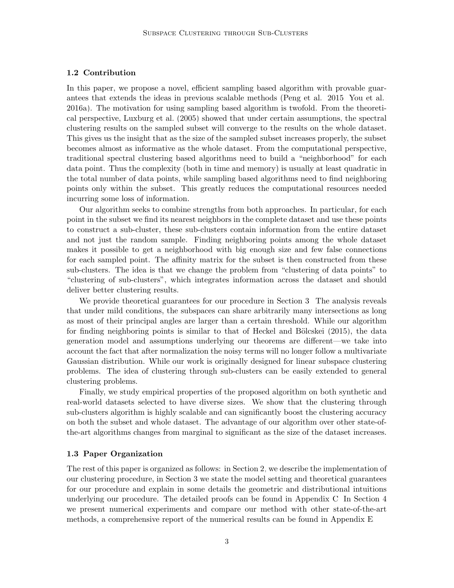#### 1.2 Contribution

In this paper, we propose a novel, efficient sampling based algorithm with provable guarantees that extends the ideas in previous scalable methods [\(Peng et al., 2015;](#page-35-6) [You et al.,](#page-36-2) [2016a\)](#page-36-2). The motivation for using sampling based algorithm is twofold. From the theoretical perspective, [Luxburg et al.](#page-35-7) [\(2005\)](#page-35-7) showed that under certain assumptions, the spectral clustering results on the sampled subset will converge to the results on the whole dataset. This gives us the insight that as the size of the sampled subset increases properly, the subset becomes almost as informative as the whole dataset. From the computational perspective, traditional spectral clustering based algorithms need to build a "neighborhood" for each data point. Thus the complexity (both in time and memory) is usually at least quadratic in the total number of data points, while sampling based algorithms need to find neighboring points only within the subset. This greatly reduces the computational resources needed incurring some loss of information.

Our algorithm seeks to combine strengths from both approaches. In particular, for each point in the subset we find its nearest neighbors in the complete dataset and use these points to construct a sub-cluster, these sub-clusters contain information from the entire dataset and not just the random sample. Finding neighboring points among the whole dataset makes it possible to get a neighborhood with big enough size and few false connections for each sampled point. The affinity matrix for the subset is then constructed from these sub-clusters. The idea is that we change the problem from "clustering of data points" to "clustering of sub-clusters", which integrates information across the dataset and should deliver better clustering results.

We provide theoretical guarantees for our procedure in Section [3.](#page-4-0) The analysis reveals that under mild conditions, the subspaces can share arbitrarily many intersections as long as most of their principal angles are larger than a certain threshold. While our algorithm for finding neighboring points is similar to that of Heckel and Bölcskei [\(2015\)](#page-34-6), the data generation model and assumptions underlying our theorems are different—we take into account the fact that after normalization the noisy terms will no longer follow a multivariate Gaussian distribution. While our work is originally designed for linear subspace clustering problems. The idea of clustering through sub-clusters can be easily extended to general clustering problems.

Finally, we study empirical properties of the proposed algorithm on both synthetic and real-world datasets selected to have diverse sizes. We show that the clustering through sub-clusters algorithm is highly scalable and can significantly boost the clustering accuracy on both the subset and whole dataset. The advantage of our algorithm over other state-ofthe-art algorithms changes from marginal to significant as the size of the dataset increases.

#### 1.3 Paper Organization

The rest of this paper is organized as follows: in Section [2,](#page-3-0) we describe the implementation of our clustering procedure, in Section [3](#page-4-0) we state the model setting and theoretical guarantees for our procedure and explain in some details the geometric and distributional intuitions underlying our procedure. The detailed proofs can be found in Appendix [C.](#page-17-0) In Section [4](#page-9-0) we present numerical experiments and compare our method with other state-of-the-art methods, a comprehensive report of the numerical results can be found in Appendix [E.](#page-31-0)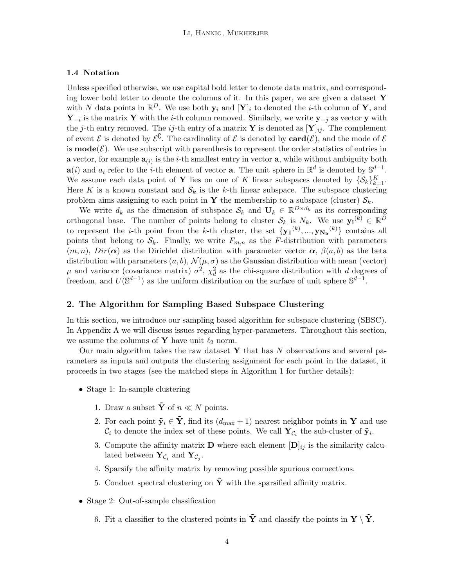## 1.4 Notation

Unless specified otherwise, we use capital bold letter to denote data matrix, and corresponding lower bold letter to denote the columns of it. In this paper, we are given a dataset  $\bf{Y}$ with N data points in  $\mathbb{R}^D$ . We use both  $\mathbf{y}_i$  and  $[\mathbf{Y}]_i$  to denoted the *i*-th column of **Y**, and  $\mathbf{Y}_{-i}$  is the matrix Y with the *i*-th column removed. Similarly, we write  $\mathbf{y}_{-j}$  as vector y with the j-th entry removed. The ij-th entry of a matrix Y is denoted as  $[Y]_{ij}$ . The complement of event  $\mathcal E$  is denoted by  $\mathcal E^{\complement}$ . The cardinality of  $\mathcal E$  is denoted by  $\textbf{card}(\mathcal E)$ , and the mode of  $\mathcal E$ is  $\text{mode}(\mathcal{E})$ . We use subscript with parenthesis to represent the order statistics of entries in a vector, for example  $\mathbf{a}_{(i)}$  is the *i*-th smallest entry in vector **a**, while without ambiguity both  $\mathbf{a}(i)$  and  $a_i$  refer to the *i*-th element of vector **a**. The unit sphere in  $\mathbb{R}^d$  is denoted by  $\mathbb{S}^{d-1}$ . We assume each data point of Y lies on one of K linear subspaces denoted by  $\{\mathcal{S}_k\}_{k=1}^K$ . Here K is a known constant and  $S_k$  is the k-th linear subspace. The subspace clustering problem aims assigning to each point in Y the membership to a subspace (cluster)  $S_k$ .

We write  $d_k$  as the dimension of subspace  $\mathcal{S}_k$  and  $\mathbf{U}_k \in \mathbb{R}^{D \times d_k}$  as its corresponding orthogonal base. The number of points belong to cluster  $\mathcal{S}_k$  is  $N_k$ . We use  $\mathbf{y_i}^{(k)} \in \mathbb{R}^D$ to represent the *i*-th point from the *k*-th cluster, the set  ${y_1}^{(k)},...,y_{N_k}^{(k)}$  contains all points that belong to  $S_k$ . Finally, we write  $F_{m,n}$  as the F-distribution with parameters  $(m, n)$ ,  $Dir(\boldsymbol{\alpha})$  as the Dirichlet distribution with parameter vector  $\boldsymbol{\alpha}$ ,  $\beta(a, b)$  as the beta distribution with parameters  $(a, b)$ ,  $\mathcal{N}(\mu, \sigma)$  as the Gaussian distribution with mean (vector)  $\mu$  and variance (covariance matrix)  $\sigma^2$ ,  $\chi_d^2$  as the chi-square distribution with d degrees of freedom, and  $U(\mathbb{S}^{d-1})$  as the uniform distribution on the surface of unit sphere  $\mathbb{S}^{d-1}$ .

#### <span id="page-3-0"></span>2. The Algorithm for Sampling Based Subspace Clustering

In this section, we introduce our sampling based algorithm for subspace clustering (SBSC). In Appendix [A](#page-14-0) we will discuss issues regarding hyper-parameters. Throughout this section, we assume the columns of **Y** have unit  $\ell_2$  norm.

Our main algorithm takes the raw dataset  $\bf{Y}$  that has N observations and several parameters as inputs and outputs the clustering assignment for each point in the dataset, it proceeds in two stages (see the matched steps in Algorithm [1](#page-5-0) for further details):

- Stage 1: In-sample clustering
	- 1. Draw a subset  $\tilde{\mathbf{Y}}$  of  $n \ll N$  points.
	- 2. For each point  $\tilde{\mathbf{y}}_i \in \tilde{\mathbf{Y}}$ , find its  $(d_{\text{max}} + 1)$  nearest neighbor points in Y and use  $\mathcal{C}_i$  to denote the index set of these points. We call  $\mathbf{Y}_{\mathcal{C}_i}$  the sub-cluster of  $\tilde{\mathbf{y}}_i$ .
	- 3. Compute the affinity matrix **D** where each element  $[D]_{ij}$  is the similarity calculated between  $\mathbf{Y}_{\mathcal{C}_i}$  and  $\mathbf{Y}_{\mathcal{C}_j}$ .
	- 4. Sparsify the affinity matrix by removing possible spurious connections.
	- 5. Conduct spectral clustering on  $\tilde{\mathbf{Y}}$  with the sparsified affinity matrix.
- Stage 2: Out-of-sample classification
	- 6. Fit a classifier to the clustered points in  $\tilde{\mathbf{Y}}$  and classify the points in  $\mathbf{Y} \setminus \tilde{\mathbf{Y}}$ .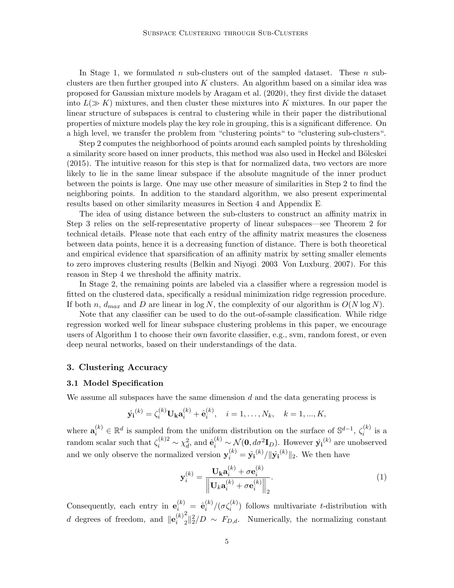In Stage 1, we formulated n sub-clusters out of the sampled dataset. These  $n$  subclusters are then further grouped into  $K$  clusters. An algorithm based on a similar idea was proposed for Gaussian mixture models by [Aragam et al.](#page-34-8) [\(2020\)](#page-34-8), they first divide the dataset into  $L(\gg K)$  mixtures, and then cluster these mixtures into K mixtures. In our paper the linear structure of subspaces is central to clustering while in their paper the distributional properties of mixture models play the key role in grouping, this is a significant difference. On a high level, we transfer the problem from "clustering points" to "clustering sub-clusters".

Step 2 computes the neighborhood of points around each sampled points by thresholding a similarity score based on inner products, this method was also used in Heckel and Bölcskei [\(2015\)](#page-34-6). The intuitive reason for this step is that for normalized data, two vectors are more likely to lie in the same linear subspace if the absolute magnitude of the inner product between the points is large. One may use other measure of similarities in Step 2 to find the neighboring points. In addition to the standard algorithm, we also present experimental results based on other similarity measures in Section [4](#page-9-0) and Appendix [E.](#page-31-0)

The idea of using distance between the sub-clusters to construct an affinity matrix in Step 3 relies on the self-representative property of linear subspaces—see Theorem [2](#page-9-1) for technical details. Please note that each entry of the affinity matrix measures the closeness between data points, hence it is a decreasing function of distance. There is both theoretical and empirical evidence that sparsification of an affinity matrix by setting smaller elements to zero improves clustering results [\(Belkin and Niyogi, 2003;](#page-34-2) [Von Luxburg, 2007\)](#page-36-7). For this reason in Step 4 we threshold the affinity matrix.

In Stage 2, the remaining points are labeled via a classifier where a regression model is fitted on the clustered data, specifically a residual minimization ridge regression procedure. If both n,  $d_{max}$  and D are linear in log N, the complexity of our algorithm is  $O(N \log N)$ .

Note that any classifier can be used to do the out-of-sample classification. While ridge regression worked well for linear subspace clustering problems in this paper, we encourage users of Algorithm [1](#page-5-0) to choose their own favorite classifier, e.g., svm, random forest, or even deep neural networks, based on their understandings of the data.

### <span id="page-4-0"></span>3. Clustering Accuracy

#### <span id="page-4-1"></span>3.1 Model Specification

We assume all subspaces have the same dimension  $d$  and the data generating process is

$$
\hat{\mathbf{y_i}}^{(k)} = \zeta_i^{(k)} \mathbf{U_k} \mathbf{a}_i^{(k)} + \hat{\mathbf{e}}_i^{(k)}, \quad i = 1, ..., N_k, \quad k = 1, ..., K,
$$

where  $\mathbf{a}_i^{(k)} \in \mathbb{R}^d$  is sampled from the uniform distribution on the surface of  $\mathbb{S}^{d-1}$ ,  $\zeta_i^{(k)}$  $i^{(\kappa)}$  is a random scalar such that  $\zeta_i^{(k)}^2 \sim \chi_d^2$ , and  $\hat{\mathbf{e}}_i^{(k)} \sim \mathcal{N}(\mathbf{0}, d\sigma^2 \mathbf{I}_D)$ . However  $\hat{\mathbf{y_i}}^{(k)}$  are unobserved and we only observe the normalized version  $y_i^{(k)} = \hat{y_i}^{(k)}/\|\hat{y_i}^{(k)}\|_2$ . We then have

<span id="page-4-2"></span>
$$
\mathbf{y}_i^{(k)} = \frac{\mathbf{U_k a}_i^{(k)} + \sigma \mathbf{e}_i^{(k)}}{\left\| \mathbf{U_k a}_i^{(k)} + \sigma \mathbf{e}_i^{(k)} \right\|_2}.
$$
 (1)

Consequently, each entry in  $e_i^{(k)} = \hat{e}_i^{(k)}$  $\binom{k}{i}$  /( $\sigma \zeta_i^{(k)}$ ) follows multivariate t-distribution with d degrees of freedom, and  $\|\mathbf{e}_i^{(k)}\|$ i 2  $\int_{2}^{2} \sqrt{\frac{2}{2}}$  /D ~  $F_{D,d}$ . Numerically, the normalizing constant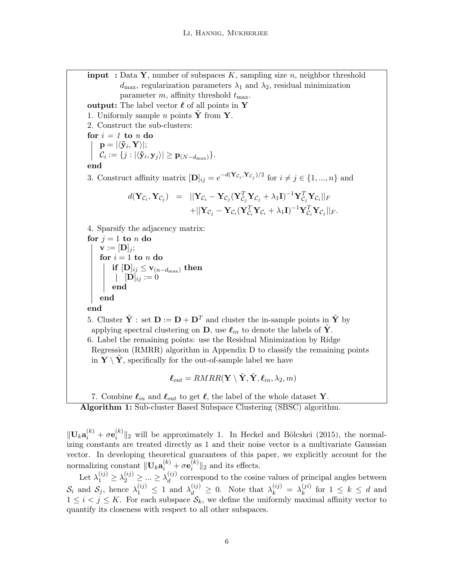<span id="page-5-0"></span>**input** : Data Y, number of subspaces K, sampling size n, neighbor threshold  $d_{\text{max}}$ , regularization parameters  $\lambda_1$  and  $\lambda_2$ , residual minimization parameter m, affinity threshold  $t_{\text{max}}$ . output: The label vector  $\ell$  of all points in Y 1. Uniformly sample *n* points  $\tilde{\mathbf{Y}}$  from  $\tilde{\mathbf{Y}}$ . 2. Construct the sub-clusters: for  $i = 1$  to n do  $\mathbf{p} = |\langle \mathbf{\tilde{y}}_i, \mathbf{Y} \rangle|;$  $\mathcal{C}_i := \{j : |\langle \mathbf{\tilde{y}}_i, \mathbf{y}_j \rangle| \geq \mathbf{p}_{(N-d_{\max})} \}.$ end 3. Construct affinity matrix  $[\mathbf{D}]_{ij} = e^{-d(\mathbf{Y}_{\mathcal{C}_i}, \mathbf{Y}_{\mathcal{C}_j})/2}$  for  $i \neq j \in \{1, ..., n\}$  and  $d(\mathbf{Y}_{\mathcal{C}_i},\mathbf{Y}_{\mathcal{C}_j}) \hspace{2mm} = \hspace{2mm} ||\mathbf{Y}_{\mathcal{C}_i}-\mathbf{Y}_{\mathcal{C}_j}(\mathbf{Y}_{\mathcal{C}_j}^T\mathbf{Y}_{\mathcal{C}_j}+\lambda_1\mathbf{I})^{-1}\mathbf{Y}_{\mathcal{C}_j}^T\mathbf{Y}_{\mathcal{C}_i}||_F$  $+||\mathbf{Y}_{\mathcal{C}_j} - \mathbf{Y}_{\mathcal{C}_i}(\mathbf{Y}_{\mathcal{C}_i}^T\mathbf{Y}_{\mathcal{C}_i} + \lambda_1\mathbf{I})^{-1}\mathbf{Y}_{\mathcal{C}_i}^T\mathbf{Y}_{\mathcal{C}_j}||_F.$ 4. Sparsify the adjacency matrix: for  $j = 1$  to n do  $\mathbf{v} := [\mathbf{D}]_j;$ for  $i = 1$  to n do  $\mathbf{if}\ [\mathbf{D}]_{ij} \leq \mathbf{v}_{(n-d_{\text{max}})}\ \mathbf{then}$  $[\mathbf{D}]_{ij} := 0$ end end end 5. Cluster  $\tilde{\mathbf{Y}}$  : set  $\mathbf{D} := \mathbf{D} + \mathbf{D}^T$  and cluster the in-sample points in  $\tilde{\mathbf{Y}}$  by applying spectral clustering on D, use  $\ell_{in}$  to denote the labels of Y. 6. Label the remaining points: use the Residual Minimization by Ridge Regression (RMRR) algorithm in Appendix [D](#page-31-1) to classify the remaining points in  $Y \setminus Y$ , specifically for the out-of-sample label we have

$$
\boldsymbol{\ell}_{out} = \text{RMRR}(\mathbf{Y} \setminus \tilde{\mathbf{Y}}, \tilde{\mathbf{Y}}, \boldsymbol{\ell}_{in}, \lambda_2, m)
$$

7. Combine  $\ell_{in}$  and  $\ell_{out}$  to get  $\ell$ , the label of the whole dataset Y.

Algorithm 1: Sub-cluster Based Subspace Clustering (SBSC) algorithm.

 $\|\mathbf{U}_k\mathbf{a}_i^{(k)} + \sigma\mathbf{e}_i^{(k)}$  $\binom{k}{i}$  will be approximately 1. In Heckel and Bölcskei [\(2015\)](#page-34-6), the normalizing constants are treated directly as 1 and their noise vector is a multivariate Gaussian vector. In developing theoretical guarantees of this paper, we explicitly account for the  $\text{normalizing constant } \| \mathbf{U}_k \mathbf{a}_{i}^{(k)} + \sigma \mathbf{e}_{i}^{(k)}\|$  $\binom{k}{i}$  | 2 and its effects.

<span id="page-5-1"></span>Let  $\lambda_1^{(ij)} \geq \lambda_2^{(ij)} \geq ... \geq \lambda_d^{(ij)}$  $d_d^{(ij)}$  correspond to the cosine values of principal angles between  $S_i$  and  $S_j$ , hence  $\lambda_1^{(ij)} \leq 1$  and  $\lambda_d^{(ij)} \geq 0$ . Note that  $\lambda_k^{(ij)} = \lambda_k^{(ji)}$  $\binom{f^{(i)}}{k}$  for  $1 \leq k \leq d$  and  $1 \leq i < j \leq K$ . For each subspace  $S_k$ , we define the uniformly maximal affinity vector to quantify its closeness with respect to all other subspaces.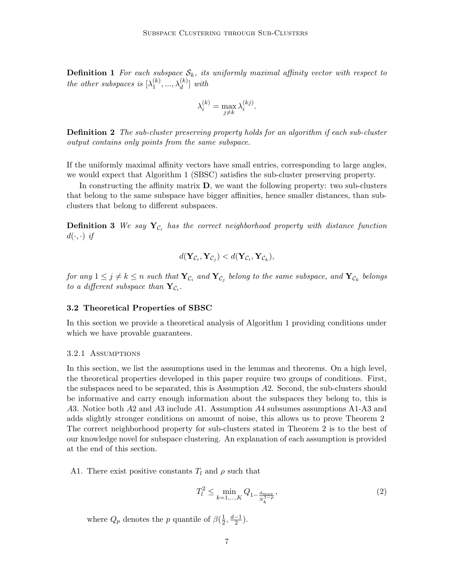**Definition 1** For each subspace  $S_k$ , its uniformly maximal affinity vector with respect to the other subspaces is  $[\lambda_1^{(k)}]$  $\lambda_1^{(k)}, \ldots, \lambda_d^{(k)}$ ] with

$$
\lambda_i^{(k)} = \max_{j \neq k} \lambda_i^{(kj)}.
$$

**Definition 2** The sub-cluster preserving property holds for an algorithm if each sub-cluster output contains only points from the same subspace.

If the uniformly maximal affinity vectors have small entries, corresponding to large angles, we would expect that Algorithm [1](#page-5-0) (SBSC) satisfies the sub-cluster preserving property.

In constructing the affinity matrix  $D$ , we want the following property: two sub-clusters that belong to the same subspace have bigger affinities, hence smaller distances, than subclusters that belong to different subspaces.

**Definition 3** We say  $\mathbf{Y}_{\mathcal{C}_i}$  has the correct neighborhood property with distance function  $d(\cdot, \cdot)$  if

<span id="page-6-1"></span>
$$
d(\mathbf{Y}_{\mathcal{C}_i}, \mathbf{Y}_{\mathcal{C}_j}) < d(\mathbf{Y}_{\mathcal{C}_i}, \mathbf{Y}_{\mathcal{C}_k}),
$$

for any  $1\leq j\neq k\leq n$  such that  $\mathbf{Y}_{\mathcal{C}_i}$  and  $\mathbf{Y}_{\mathcal{C}_j}$  belong to the same subspace, and  $\mathbf{Y}_{\mathcal{C}_k}$  belongs to a different subspace than  $\mathbf{Y}_{\mathcal{C}_i}$ .

#### 3.2 Theoretical Properties of SBSC

In this section we provide a theoretical analysis of Algorithm [1](#page-5-0) providing conditions under which we have provable guarantees.

#### 3.2.1 Assumptions

In this section, we list the assumptions used in the lemmas and theorems. On a high level, the theoretical properties developed in this paper require two groups of conditions. First, the subspaces need to be separated, this is Assumption A2. Second, the sub-clusters should be informative and carry enough information about the subspaces they belong to, this is A3. Notice both A2 and A3 include A1. Assumption A4 subsumes assumptions A1-A3 and adds slightly stronger conditions on amount of noise, this allows us to prove Theorem [2.](#page-9-1) The correct neighborhood property for sub-clusters stated in Theorem [2](#page-9-1) is to the best of our knowledge novel for subspace clustering. An explanation of each assumption is provided at the end of this section.

A1. There exist positive constants  $T_l$  and  $\rho$  such that

<span id="page-6-0"></span>
$$
T_l^2 \le \min_{k=1,\dots,K} Q_{1-\frac{d_{max}}{N_k^{1-\rho}}},\tag{2}
$$

where  $Q_p$  denotes the p quantile of  $\beta(\frac{1}{2})$  $\frac{1}{2}, \frac{d-1}{2}$  $\frac{-1}{2}$ ).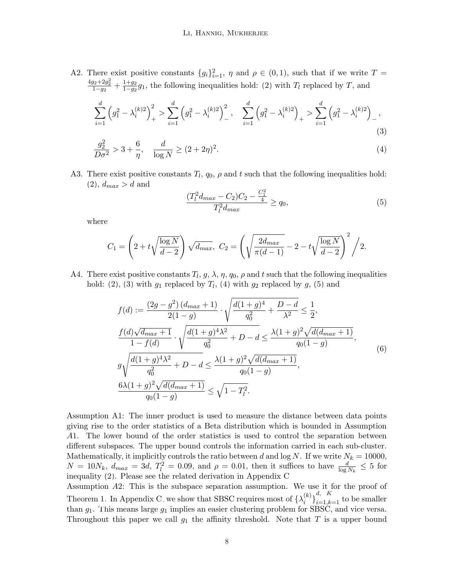A2. There exist positive constants  ${g_i}_{i=1}^2$ ,  $\eta$  and  $\rho \in (0,1)$ , such that if we write  $T =$  $\frac{4g_2+2g_2^2}{1-g_2}+\frac{1+g_2}{1-g_2}$  $\frac{1+g_2}{1-g_2}g_1$ , the following inequalities hold: [\(2\)](#page-6-0) with  $T_l$  replaced by T, and

$$
\sum_{i=1}^{d} \left(g_1^2 - \lambda_i^{(k)2}\right)_+^2 > \sum_{i=1}^{d} \left(g_1^2 - \lambda_i^{(k)2}\right)_-^2, \quad \sum_{i=1}^{d} \left(g_1^2 - \lambda_i^{(k)2}\right)_+ > \sum_{i=1}^{d} \left(g_1^2 - \lambda_i^{(k)2}\right)_-,\tag{3}
$$

$$
\frac{g_2^2}{D\sigma^2} > 3 + \frac{6}{\eta}, \quad \frac{d}{\log N} \ge (2 + 2\eta)^2.
$$
 (4)

A3. There exist positive constants  $T_l$ ,  $q_0$ ,  $\rho$  and t such that the following inequalities hold:  $(2), d_{max} > d$  $(2), d_{max} > d$  and

<span id="page-7-3"></span><span id="page-7-2"></span><span id="page-7-1"></span><span id="page-7-0"></span>
$$
\frac{(T_l^2 d_{max} - C_2)C_2 - \frac{C_1^2}{4}}{T_l^2 d_{max}} \ge q_0,
$$
\n(5)

where

$$
C_1 = \left(2 + t\sqrt{\frac{\log N}{d - 2}}\right)\sqrt{d_{max}}, \ C_2 = \left(\sqrt{\frac{2d_{max}}{\pi(d - 1)}} - 2 - t\sqrt{\frac{\log N}{d - 2}}\right)^2 / 2.
$$

A4. There exist positive constants  $T_l$ ,  $g$ ,  $\lambda$ ,  $\eta$ ,  $q_0$ ,  $\rho$  and  $t$  such that the following inequalities hold: [\(2\)](#page-6-0), [\(3\)](#page-7-0) with  $g_1$  replaced by  $T_l$ , [\(4\)](#page-7-1) with  $g_2$  replaced by  $g$ , [\(5\)](#page-7-2) and

$$
f(d) := \frac{(2g - g^2) (d_{max} + 1)}{2(1 - g)} \cdot \sqrt{\frac{d(1 + g)^4}{q_0^2} + \frac{D - d}{\lambda^2}} \le \frac{1}{2},
$$
  
\n
$$
\frac{f(d)\sqrt{d_{max} + 1}}{1 - f(d)} \cdot \sqrt{\frac{d(1 + g)^4 \lambda^2}{q_0^2} + D - d} \le \frac{\lambda(1 + g)^2 \sqrt{d(d_{max} + 1)}}{q_0(1 - g)},
$$
  
\n
$$
g\sqrt{\frac{d(1 + g)^4 \lambda^2}{q_0^2} + D - d} \le \frac{\lambda(1 + g)^2 \sqrt{d(d_{max} + 1)}}{q_0(1 - g)},
$$
  
\n
$$
\frac{6\lambda(1 + g)^2 \sqrt{d(d_{max} + 1)}}{q_0(1 - g)} \le \sqrt{1 - T_l^2}.
$$
  
\n(6)

Assumption A1: The inner product is used to measure the distance between data points giving rise to the order statistics of a Beta distribution which is bounded in Assumption A1. The lower bound of the order statistics is used to control the separation between different subspaces. The upper bound controls the information carried in each sub-cluster. Mathematically, it implicitly controls the ratio between d and log N. If we write  $N_k = 10000$ ,  $N = 10N_k$ ,  $d_{max} = 3d$ ,  $T_l^2 = 0.09$ , and  $\rho = 0.01$ , then it suffices to have  $\frac{d}{\log N_k} \leq 5$  for inequality [\(2\)](#page-6-0). Please see the related derivation in Appendix [C.](#page-17-0)

Assumption A2: This is the subspace separation assumption. We use it for the proof of Theorem [1.](#page-8-0) In Appendix [C,](#page-17-0) we show that SBSC requires most of  $\{\lambda_i^{(k)}\}$  $\binom{k}{i}\}_{i=1,k=1}^{d, K}$  to be smaller than  $g_1$ . This means large  $g_1$  implies an easier clustering problem for SBSC, and vice versa. Throughout this paper we call  $g_1$  the affinity threshold. Note that T is a upper bound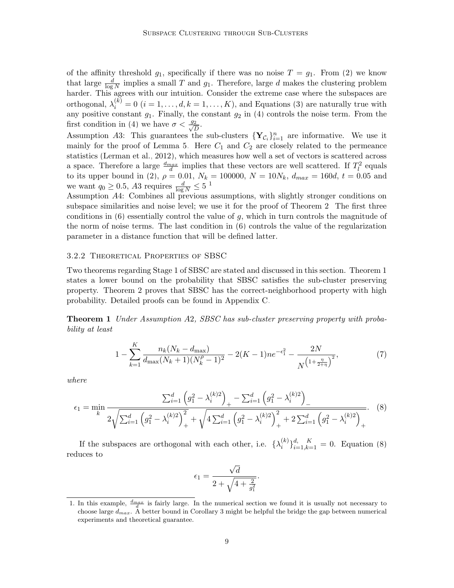of the affinity threshold  $g_1$ , specifically if there was no noise  $T = g_1$ . From [\(2\)](#page-6-0) we know that large  $\frac{d}{\log N}$  implies a small T and  $g_1$ . Therefore, large d makes the clustering problem harder. This agrees with our intuition. Consider the extreme case where the subspaces are orthogonal,  $\lambda_i^{(k)} = 0$   $(i = 1, \ldots, d, k = 1, \ldots, K)$ , and Equations [\(3\)](#page-7-0) are naturally true with any positive constant  $g_1$ . Finally, the constant  $g_2$  in [\(4\)](#page-7-1) controls the noise term. From the first condition in [\(4\)](#page-7-1) we have  $\sigma < \frac{g_2}{\sqrt{g}}$  $\frac{2}{D}$ .

Assumption A3: This guarantees the sub-clusters  $\{Y_{\mathcal{C}_i}\}_{i=1}^n$  are informative. We use it mainly for the proof of Lemma [5.](#page-21-0) Here  $C_1$  and  $C_2$  are closely related to the permeance statistics [\(Lerman et al., 2012\)](#page-35-8), which measures how well a set of vectors is scattered across a space. Therefore a large  $\frac{d_{max}}{d}$  implies that these vectors are well scattered. If  $T_l^2$  equals to its upper bound in [\(2\)](#page-6-0),  $\rho = 0.01$ ,  $N_k = 100000$ ,  $N = 10N_k$ ,  $d_{max} = 160d$ ,  $t = 0.05$  and we want  $q_0 \ge 0.5$ , A3 requires  $\frac{d}{\log N} \le 5^{-1}$  $\frac{d}{\log N} \le 5^{-1}$  $\frac{d}{\log N} \le 5^{-1}$ 

Assumption A4: Combines all previous assumptions, with slightly stronger conditions on subspace similarities and noise level; we use it for the proof of Theorem [2.](#page-9-1) The first three conditions in  $(6)$  essentially control the value of g, which in turn controls the magnitude of the norm of noise terms. The last condition in [\(6\)](#page-7-3) controls the value of the regularization parameter in a distance function that will be defined latter.

#### 3.2.2 Theoretical Properties of SBSC

Two theorems regarding Stage 1 of SBSC are stated and discussed in this section. Theorem [1](#page-8-0) states a lower bound on the probability that SBSC satisfies the sub-cluster preserving property. Theorem [2](#page-9-1) proves that SBSC has the correct-neighborhood property with high probability. Detailed proofs can be found in Appendix [C.](#page-17-0)

<span id="page-8-0"></span>Theorem 1 Under Assumption A2, SBSC has sub-cluster preserving property with probability at least

$$
1 - \sum_{k=1}^{K} \frac{n_k (N_k - d_{\text{max}})}{d_{\text{max}} (N_k + 1)(N_k^{\rho} - 1)^2} - 2(K - 1) n e^{-\epsilon_1^2} - \frac{2N}{N^{\left(1 + \frac{\eta}{2 + \eta}\right)^2}},\tag{7}
$$

where

$$
\epsilon_{1} = \min_{k} \frac{\sum_{i=1}^{d} \left( g_{1}^{2} - \lambda_{i}^{(k)2} \right)_{+} - \sum_{i=1}^{d} \left( g_{1}^{2} - \lambda_{i}^{(k)2} \right)_{-}}{2\sqrt{\sum_{i=1}^{d} \left( g_{1}^{2} - \lambda_{i}^{(k)2} \right)_{+}^{2}} + \sqrt{4 \sum_{i=1}^{d} \left( g_{1}^{2} - \lambda_{i}^{(k)2} \right)_{+}^{2}} + 2 \sum_{i=1}^{d} \left( g_{1}^{2} - \lambda_{i}^{(k)2} \right)_{+}^{2}}.
$$
 (8)

If the subspaces are orthogonal with each other, i.e.  $\{\lambda_i^{(k)}\}$  ${}_{i}^{(k)}\}_{i=1,k=1}^{d}$  = 0. Equation [\(8\)](#page-8-2) reduces to

<span id="page-8-3"></span><span id="page-8-2"></span>
$$
\epsilon_1=\frac{\sqrt{d}}{2+\sqrt{4+\frac{2}{g_1^2}}}.
$$

<span id="page-8-1"></span><sup>1.</sup> In this example,  $\frac{d_{max}}{d}$  is fairly large. In the numerical section we found it is usually not necessary to choose large  $d_{max}$ . A better bound in Corollary [3](#page-20-0) might be helpful the bridge the gap between numerical experiments and theoretical guarantee.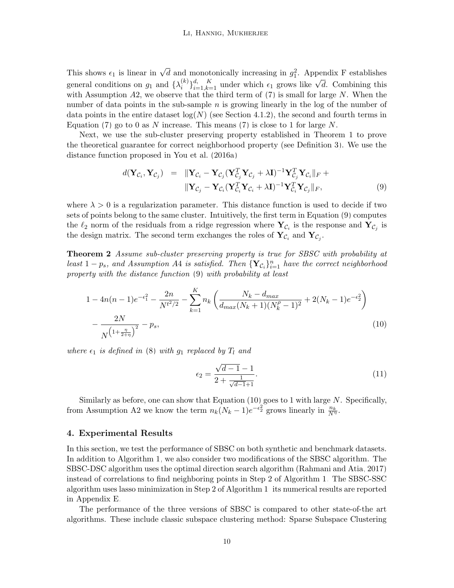This shows  $\epsilon_1$  is linear in  $\sqrt{d}$  and monotonically increasing in  $g_1^2$ . Appendix [F](#page-31-2) establishes general conditions on  $g_1$  and  $\{\lambda_i^{(k)}\}$  $\{a_i\}_{i=1,k=1}^d$  under which  $\epsilon_1$  grows like  $\sqrt{d}$ . Combining this with Assumption  $A2$ , we observe that the third term of  $(7)$  is small for large N. When the number of data points in the sub-sample  $n$  is growing linearly in the log of the number of data points in the entire dataset  $log(N)$  (see Section [4.1.2\)](#page-11-0), the second and fourth terms in Equation [\(7\)](#page-8-3) go to 0 as N increase. This means (7) is close to 1 for large  $N$ .

Next, we use the sub-cluster preserving property established in Theorem [1](#page-8-0) to prove the theoretical guarantee for correct neighborhood property (see Definition [3\)](#page-6-1). We use the distance function proposed in [You et al.](#page-36-2) [\(2016a\)](#page-36-2)

<span id="page-9-2"></span>
$$
d(\mathbf{Y}_{\mathcal{C}_i}, \mathbf{Y}_{\mathcal{C}_j}) = \|\mathbf{Y}_{\mathcal{C}_i} - \mathbf{Y}_{\mathcal{C}_j} (\mathbf{Y}_{\mathcal{C}_j}^T \mathbf{Y}_{\mathcal{C}_j} + \lambda \mathbf{I})^{-1} \mathbf{Y}_{\mathcal{C}_j}^T \mathbf{Y}_{\mathcal{C}_i} \|_F +
$$
  

$$
\|\mathbf{Y}_{\mathcal{C}_j} - \mathbf{Y}_{\mathcal{C}_i} (\mathbf{Y}_{\mathcal{C}_i}^T \mathbf{Y}_{\mathcal{C}_i} + \lambda \mathbf{I})^{-1} \mathbf{Y}_{\mathcal{C}_i}^T \mathbf{Y}_{\mathcal{C}_j} \|_F,
$$
 (9)

where  $\lambda > 0$  is a regularization parameter. This distance function is used to decide if two sets of points belong to the same cluster. Intuitively, the first term in Equation [\(9\)](#page-9-2) computes the  $\ell_2$  norm of the residuals from a ridge regression where  $\mathbf{Y}_{\mathcal{C}_i}$  is the response and  $\mathbf{Y}_{\mathcal{C}_j}$  is the design matrix. The second term exchanges the roles of  $\mathbf{Y}_{\mathcal{C}_i}$  and  $\mathbf{Y}_{\mathcal{C}_j}$ .

<span id="page-9-1"></span>Theorem 2 Assume sub-cluster preserving property is true for SBSC with probability at least  $1 - p_s$ , and Assumption A4 is satisfied. Then  $\{Y_{\mathcal{C}_i}\}_{i=1}^n$  have the correct neighborhood property with the distance function [\(9\)](#page-9-2) with probability at least

$$
1 - 4n(n-1)e^{-\epsilon_1^2} - \frac{2n}{N^{t^2/2}} - \sum_{k=1}^K n_k \left( \frac{N_k - d_{max}}{d_{max}(N_k + 1)(N_k^{\rho} - 1)^2} + 2(N_k - 1)e^{-\epsilon_2^2} \right) - \frac{2N}{N^{\left(1 + \frac{\eta}{2 + \eta}\right)^2}} - p_s,
$$
\n(10)

where  $\epsilon_1$  is defined in [\(8\)](#page-8-2) with  $g_1$  replaced by  $T_l$  and

<span id="page-9-4"></span><span id="page-9-3"></span>
$$
\epsilon_2 = \frac{\sqrt{d-1} - 1}{2 + \frac{1}{\sqrt{d-1} + 1}}.\tag{11}
$$

Similarly as before, one can show that Equation  $(10)$  goes to 1 with large N. Specifically, from Assumption A2 we know the term  $n_k(N_k-1)e^{-\epsilon_2^2}$  grows linearly in  $\frac{n_k}{N^{\eta}}$ .

## <span id="page-9-0"></span>4. Experimental Results

In this section, we test the performance of SBSC on both synthetic and benchmark datasets. In addition to Algorithm [1,](#page-5-0) we also consider two modifications of the SBSC algorithm. The SBSC-DSC algorithm uses the optimal direction search algorithm [\(Rahmani and Atia, 2017\)](#page-35-4) instead of correlations to find neighboring points in Step 2 of Algorithm [1.](#page-5-0) The SBSC-SSC algorithm uses lasso minimization in Step 2 of Algorithm [1;](#page-5-0) its numerical results are reported in Appendix [E.](#page-31-0)

The performance of the three versions of SBSC is compared to other state-of-the art algorithms. These include classic subspace clustering method: Sparse Subspace Clustering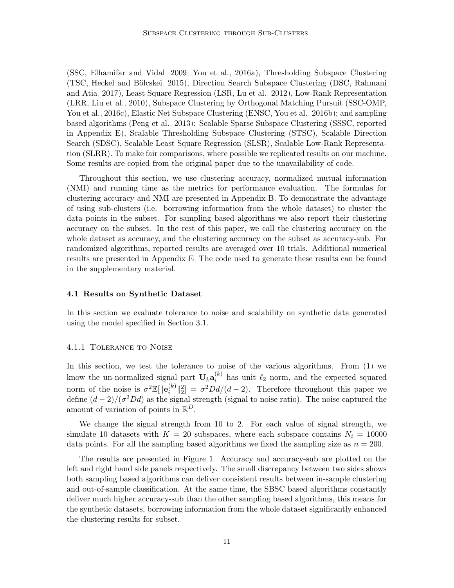(SSC, [Elhamifar and Vidal, 2009;](#page-34-3) [You et al., 2016a\)](#page-36-2), Thresholding Subspace Clustering (TSC, Heckel and Bölcskei, 2015), Direction Search Subspace Clustering (DSC, [Rahmani](#page-35-4) [and Atia, 2017\)](#page-35-4), Least Square Regression (LSR, [Lu et al., 2012\)](#page-35-9), Low-Rank Representation (LRR, [Liu et al., 2010\)](#page-35-10), Subspace Clustering by Orthogonal Matching Pursuit (SSC-OMP, [You et al., 2016c\)](#page-36-3), Elastic Net Subspace Clustering (ENSC, [You et al., 2016b\)](#page-36-4); and sampling based algorithms [\(Peng et al., 2013\)](#page-35-11): Scalable Sparse Subspace Clustering (SSSC, reported in Appendix [E\)](#page-31-0), Scalable Thresholding Subspace Clustering (STSC), Scalable Direction Search (SDSC), Scalable Least Square Regression (SLSR), Scalable Low-Rank Representation (SLRR). To make fair comparisons, where possible we replicated results on our machine. Some results are copied from the original paper due to the unavailability of code.

Throughout this section, we use clustering accuracy, normalized mutual information (NMI) and running time as the metrics for performance evaluation. The formulas for clustering accuracy and NMI are presented in Appendix [B.](#page-17-1) To demonstrate the advantage of using sub-clusters (i.e. borrowing information from the whole dataset) to cluster the data points in the subset. For sampling based algorithms we also report their clustering accuracy on the subset. In the rest of this paper, we call the clustering accuracy on the whole dataset as accuracy, and the clustering accuracy on the subset as accuracy-sub. For randomized algorithms, reported results are averaged over 10 trials. Additional numerical results are presented in Appendix [E.](#page-31-0) The code used to generate these results can be found in the supplementary material.

#### 4.1 Results on Synthetic Dataset

In this section we evaluate tolerance to noise and scalability on synthetic data generated using the model specified in Section [3.1.](#page-4-1)

#### <span id="page-10-0"></span>4.1.1 Tolerance to Noise

In this section, we test the tolerance to noise of the various algorithms. From [\(1\)](#page-4-2) we know the un-normalized signal part  $\mathbf{U}_k \mathbf{a}_i^{(k)}$  $\binom{k}{i}$  has unit  $\ell_2$  norm, and the expected squared norm of the noise is  $\sigma^2 \mathbb{E}[\Vert \mathbf{e}_i^{(k)}\Vert$  $\int_{i}^{(k)} \|_{2}^{2} = \sigma^{2} D d/(d-2)$ . Therefore throughout this paper we define  $(d-2)/(\sigma^2 Dd)$  as the signal strength (signal to noise ratio). The noise captured the amount of variation of points in  $\mathbb{R}^D$ .

We change the signal strength from 10 to 2. For each value of signal strength, we simulate 10 datasets with  $K = 20$  subspaces, where each subspace contains  $N_i = 10000$ data points. For all the sampling based algorithms we fixed the sampling size as  $n = 200$ .

The results are presented in Figure [1.](#page-11-1) Accuracy and accuracy-sub are plotted on the left and right hand side panels respectively. The small discrepancy between two sides shows both sampling based algorithms can deliver consistent results between in-sample clustering and out-of-sample classification. At the same time, the SBSC based algorithms constantly deliver much higher accuracy-sub than the other sampling based algorithms, this means for the synthetic datasets, borrowing information from the whole dataset significantly enhanced the clustering results for subset.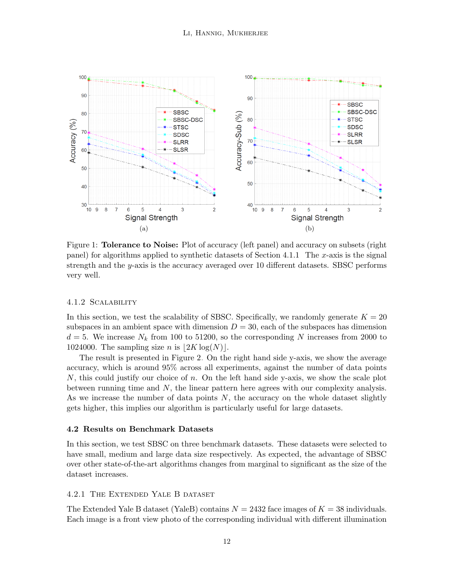<span id="page-11-1"></span>

Figure 1: **Tolerance to Noise:** Plot of accuracy (left panel) and accuracy on subsets (right panel) for algorithms applied to synthetic datasets of Section [4.1.1.](#page-10-0) The x-axis is the signal strength and the y-axis is the accuracy averaged over 10 different datasets. SBSC performs very well.

#### <span id="page-11-0"></span>4.1.2 Scalability

In this section, we test the scalability of SBSC. Specifically, we randomly generate  $K = 20$ subspaces in an ambient space with dimension  $D = 30$ , each of the subspaces has dimension  $d = 5$ . We increase  $N_k$  from 100 to 51200, so the corresponding N increases from 2000 to 1024000. The sampling size *n* is  $|2K \log(N)|$ .

The result is presented in Figure [2.](#page-12-0) On the right hand side y-axis, we show the average accuracy, which is around 95% across all experiments, against the number of data points N, this could justify our choice of n. On the left hand side y-axis, we show the scale plot between running time and N, the linear pattern here agrees with our complexity analysis. As we increase the number of data points  $N$ , the accuracy on the whole dataset slightly gets higher, this implies our algorithm is particularly useful for large datasets.

#### 4.2 Results on Benchmark Datasets

In this section, we test SBSC on three benchmark datasets. These datasets were selected to have small, medium and large data size respectively. As expected, the advantage of SBSC over other state-of-the-art algorithms changes from marginal to significant as the size of the dataset increases.

#### 4.2.1 The Extended Yale B dataset

The Extended Yale B dataset (YaleB) contains  $N = 2432$  face images of  $K = 38$  individuals. Each image is a front view photo of the corresponding individual with different illumination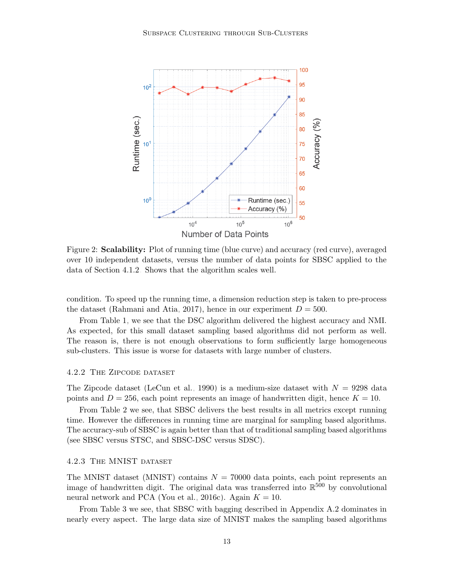<span id="page-12-0"></span>

Figure 2: **Scalability:** Plot of running time (blue curve) and accuracy (red curve), averaged over 10 independent datasets, versus the number of data points for SBSC applied to the data of Section [4.1.2.](#page-11-0) Shows that the algorithm scales well.

condition. To speed up the running time, a dimension reduction step is taken to pre-process the dataset [\(Rahmani and Atia, 2017\)](#page-35-4), hence in our experiment  $D = 500$ .

From Table [1,](#page-13-0) we see that the DSC algorithm delivered the highest accuracy and NMI. As expected, for this small dataset sampling based algorithms did not perform as well. The reason is, there is not enough observations to form sufficiently large homogeneous sub-clusters. This issue is worse for datasets with large number of clusters.

#### 4.2.2 The Zipcode dataset

The Zipcode dataset [\(LeCun et al., 1990\)](#page-34-9) is a medium-size dataset with  $N = 9298$  data points and  $D = 256$ , each point represents an image of handwritten digit, hence  $K = 10$ .

From Table [2](#page-14-1) we see, that SBSC delivers the best results in all metrics except running time. However the differences in running time are marginal for sampling based algorithms. The accuracy-sub of SBSC is again better than that of traditional sampling based algorithms (see SBSC versus STSC, and SBSC-DSC versus SDSC).

#### 4.2.3 The MNIST dataset

The MNIST dataset (MNIST) contains  $N = 70000$  data points, each point represents an image of handwritten digit. The original data was transferred into  $\mathbb{R}^{500}$  by convolutional neural network and PCA [\(You et al., 2016c\)](#page-36-3). Again  $K = 10$ .

From Table [3](#page-15-0) we see, that SBSC with bagging described in Appendix [A.2](#page-16-0) dominates in nearly every aspect. The large data size of MNIST makes the sampling based algorithms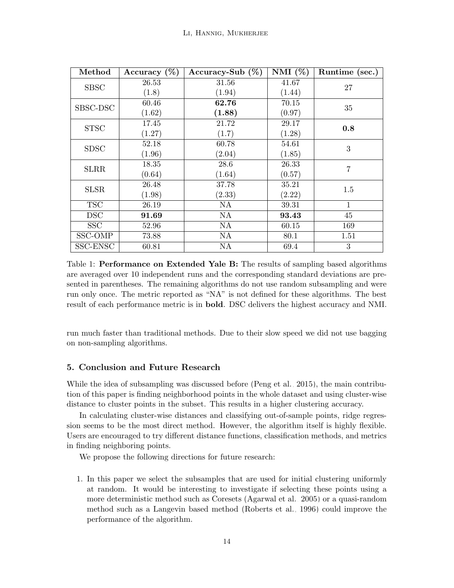<span id="page-13-0"></span>

| Method      | Accuracy $(\%)$ | Accuracy-Sub $(\%)$ | NMI $(\%)$ | Runtime (sec.) |
|-------------|-----------------|---------------------|------------|----------------|
| <b>SBSC</b> | 26.53           | 31.56               | 41.67      | 27             |
|             | (1.8)           | (1.94)              | (1.44)     |                |
| SBSC-DSC    | 60.46           | 62.76               | 70.15      | 35             |
|             | (1.62)          | (1.88)              | (0.97)     |                |
| <b>STSC</b> | 17.45           | 21.72               | 29.17      | 0.8            |
|             | (1.27)          | (1.7)               | (1.28)     |                |
| <b>SDSC</b> | 52.18           | 60.78               | 54.61      | 3              |
|             | (1.96)          | (2.04)              | (1.85)     |                |
| <b>SLRR</b> | 18.35           | 28.6                | 26.33      | $\overline{7}$ |
|             | (0.64)          | (1.64)              | (0.57)     |                |
| <b>SLSR</b> | 26.48           | 37.78               | 35.21      | 1.5            |
|             | (1.98)          | (2.33)              | (2.22)     |                |
| <b>TSC</b>  | 26.19           | NA                  | 39.31      | $\mathbf{1}$   |
| <b>DSC</b>  | 91.69           | <b>NA</b>           | 93.43      | 45             |
| <b>SSC</b>  | 52.96           | <b>NA</b>           | 60.15      | 169            |
| SSC-OMP     | 73.88           | NA                  | 80.1       | 1.51           |
| SSC-ENSC    | 60.81           | NA                  | 69.4       | 3              |

Table 1: **Performance on Extended Yale B:** The results of sampling based algorithms are averaged over 10 independent runs and the corresponding standard deviations are presented in parentheses. The remaining algorithms do not use random subsampling and were run only once. The metric reported as "NA" is not defined for these algorithms. The best result of each performance metric is in bold. DSC delivers the highest accuracy and NMI.

run much faster than traditional methods. Due to their slow speed we did not use bagging on non-sampling algorithms.

# 5. Conclusion and Future Research

While the idea of subsampling was discussed before [\(Peng et al., 2015\)](#page-35-6), the main contribution of this paper is finding neighborhood points in the whole dataset and using cluster-wise distance to cluster points in the subset. This results in a higher clustering accuracy.

In calculating cluster-wise distances and classifying out-of-sample points, ridge regression seems to be the most direct method. However, the algorithm itself is highly flexible. Users are encouraged to try different distance functions, classification methods, and metrics in finding neighboring points.

We propose the following directions for future research:

1. In this paper we select the subsamples that are used for initial clustering uniformly at random. It would be interesting to investigate if selecting these points using a more deterministic method such as Coresets [\(Agarwal et al., 2005\)](#page-34-10) or a quasi-random method such as a Langevin based method [\(Roberts et al., 1996\)](#page-35-12) could improve the performance of the algorithm.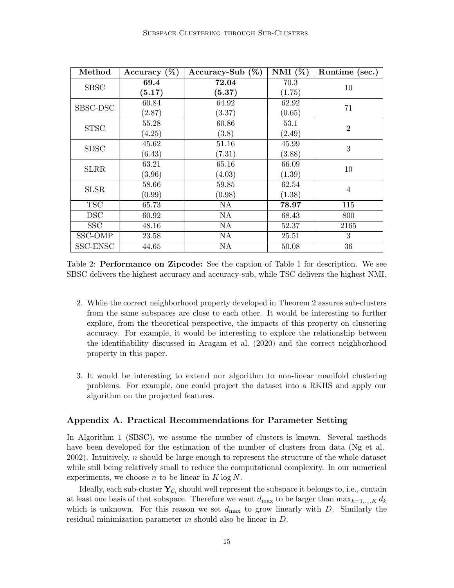<span id="page-14-1"></span>

| Method      | Accuracy $(\%)$ | Accuracy-Sub $(\%)$ | NMI $(\%)$ | Runtime (sec.) |
|-------------|-----------------|---------------------|------------|----------------|
| <b>SBSC</b> | 69.4            | 72.04               | 70.3       | 10             |
|             | (5.17)          | (5.37)              | (1.75)     |                |
| SBSC-DSC    | 60.84           | 64.92               | 62.92      | 71             |
|             | (2.87)          | (3.37)              | (0.65)     |                |
| <b>STSC</b> | 55.28           | 60.86               | 53.1       | $\bf{2}$       |
|             | (4.25)          | (3.8)               | (2.49)     |                |
| <b>SDSC</b> | 45.62           | 51.16               | 45.99      | 3              |
|             | (6.43)          | (7.31)              | (3.88)     |                |
| <b>SLRR</b> | 63.21           | 65.16               | 66.09      | 10             |
|             | (3.96)          | (4.03)              | (1.39)     |                |
| <b>SLSR</b> | 58.66           | 59.85               | 62.54      | $\overline{4}$ |
|             | (0.99)          | (0.98)              | (1.38)     |                |
| <b>TSC</b>  | 65.73           | NA                  | 78.97      | 115            |
| <b>DSC</b>  | 60.92           | <b>NA</b>           | 68.43      | 800            |
| <b>SSC</b>  | 48.16           | NA                  | 52.37      | 2165           |
| SSC-OMP     | 23.58           | NA                  | 25.51      | 3              |
| SSC-ENSC    | 44.65           | NA                  | 50.08      | 36             |

Table 2: Performance on Zipcode: See the caption of Table [1](#page-13-0) for description. We see SBSC delivers the highest accuracy and accuracy-sub, while TSC delivers the highest NMI.

- 2. While the correct neighborhood property developed in Theorem [2](#page-9-1) assures sub-clusters from the same subspaces are close to each other. It would be interesting to further explore, from the theoretical perspective, the impacts of this property on clustering accuracy. For example, it would be interesting to explore the relationship between the identifiability discussed in [Aragam et al.](#page-34-8) [\(2020\)](#page-34-8) and the correct neighborhood property in this paper.
- 3. It would be interesting to extend our algorithm to non-linear manifold clustering problems. For example, one could project the dataset into a RKHS and apply our algorithm on the projected features.

#### <span id="page-14-0"></span>Appendix A. Practical Recommendations for Parameter Setting

In Algorithm [1](#page-5-0) (SBSC), we assume the number of clusters is known. Several methods have been developed for the estimation of the number of clusters from data [\(Ng et al.,](#page-35-2) [2002\)](#page-35-2). Intuitively, n should be large enough to represent the structure of the whole dataset while still being relatively small to reduce the computational complexity. In our numerical experiments, we choose n to be linear in  $K \log N$ .

Ideally, each sub-cluster  $\mathbf{Y}_{\mathcal{C}_i}$  should well represent the subspace it belongs to, i.e., contain at least one basis of that subspace. Therefore we want  $d_{\text{max}}$  to be larger than  $\max_{k=1,\dots,K} d_k$ which is unknown. For this reason we set  $d_{\text{max}}$  to grow linearly with D. Similarly the residual minimization parameter m should also be linear in D.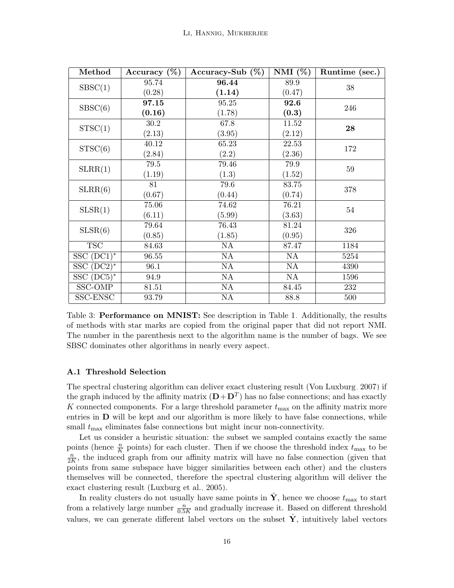<span id="page-15-0"></span>

| Method                  | Accuracy $(\%)$ | Accuracy-Sub $(\%)$ | NMI $(\%)$ | Runtime (sec.) |
|-------------------------|-----------------|---------------------|------------|----------------|
| SBSC(1)                 | 95.74           | 96.44               | 89.9       | 38             |
|                         | (0.28)          | (1.14)              | (0.47)     |                |
| S BSC(6)                | 97.15           | 95.25               | 92.6       | 246            |
|                         | (0.16)          | (1.78)              | (0.3)      |                |
| STSC(1)                 | $30.2\,$        | 67.8                | $11.52\,$  | 28             |
|                         | (2.13)          | (3.95)              | (2.12)     |                |
| STSC(6)                 | 40.12           | 65.23               | 22.53      | 172            |
|                         | (2.84)          | (2.2)               | (2.36)     |                |
| SLRR(1)                 | 79.5            | 79.46               | 79.9       | $59\,$         |
|                         | (1.19)          | (1.3)               | (1.52)     |                |
| SLRR(6)                 | 81              | 79.6                | 83.75      | 378            |
|                         | (0.67)          | (0.44)              | (0.74)     |                |
| SLSR(1)                 | 75.06           | 74.62               | 76.21      | $54\,$         |
|                         | (6.11)          | (5.99)              | (3.63)     |                |
|                         | 79.64           | 76.43               | 81.24      | 326            |
| SLSR(6)                 | (0.85)          | (1.85)              | (0.95)     |                |
| $\overline{\text{TSC}}$ | 84.63           | NA                  | 87.47      | 1184           |
| $SSC (DC1)^*$           | 96.55           | NA                  | NA         | 5254           |
| SSC $(DC2)^*$           | 96.1            | NA                  | NA         | 4390           |
| SSC $(DC5)^*$           | 94.9            | NA                  | NA         | 1596           |
| SSC-OMP                 | 81.51           | NA                  | 84.45      | 232            |
| SSC-ENSC                | 93.79           | NA                  | 88.8       | 500            |

Table 3: Performance on MNIST: See description in Table [1.](#page-13-0) Additionally, the results of methods with star marks are copied from the original paper that did not report NMI. The number in the parenthesis next to the algorithm name is the number of bags. We see SBSC dominates other algorithms in nearly every aspect.

## A.1 Threshold Selection

The spectral clustering algorithm can deliver exact clustering result [\(Von Luxburg, 2007\)](#page-36-7) if the graph induced by the affinity matrix  $(D + D<sup>T</sup>)$  has no false connections; and has exactly K connected components. For a large threshold parameter  $t_{\text{max}}$  on the affinity matrix more entries in  **will be kept and our algorithm is more likely to have false connections, while** small  $t_{\text{max}}$  eliminates false connections but might incur non-connectivity.

Let us consider a heuristic situation: the subset we sampled contains exactly the same points (hence  $\frac{n}{K}$  points) for each cluster. Then if we choose the threshold index  $t_{\text{max}}$  to be n  $\frac{n}{2K}$ , the induced graph from our affinity matrix will have no false connection (given that points from same subspace have bigger similarities between each other) and the clusters themselves will be connected, therefore the spectral clustering algorithm will deliver the exact clustering result [\(Luxburg et al., 2005\)](#page-35-7).

In reality clusters do not usually have same points in Y, hence we choose  $t_{\text{max}}$  to start from a relatively large number  $\frac{n}{0.5K}$  and gradually increase it. Based on different threshold values, we can generate different label vectors on the subset  $\hat{Y}$ , intuitively label vectors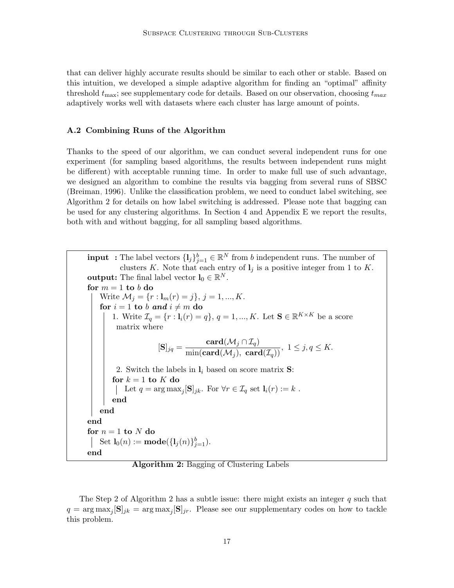that can deliver highly accurate results should be similar to each other or stable. Based on this intuition, we developed a simple adaptive algorithm for finding an "optimal" affinity threshold  $t_{\text{max}}$ ; see supplementary code for details. Based on our observation, choosing  $t_{\text{max}}$ adaptively works well with datasets where each cluster has large amount of points.

#### <span id="page-16-0"></span>A.2 Combining Runs of the Algorithm

Thanks to the speed of our algorithm, we can conduct several independent runs for one experiment (for sampling based algorithms, the results between independent runs might be different) with acceptable running time. In order to make full use of such advantage, we designed an algorithm to combine the results via bagging from several runs of SBSC [\(Breiman, 1996\)](#page-34-11). Unlike the classification problem, we need to conduct label switching, see Algorithm [2](#page-16-1) for details on how label switching is addressed. Please note that bagging can be used for any clustering algorithms. In Section [4](#page-9-0) and Appendix [E](#page-31-0) we report the results, both with and without bagging, for all sampling based algorithms.

<span id="page-16-1"></span>**input** : The label vectors  $\{l_j\}_{j=1}^b \in \mathbb{R}^N$  from b independent runs. The number of clusters K. Note that each entry of  $l_i$  is a positive integer from 1 to K. **output:** The final label vector  $\mathbf{l}_0 \in \mathbb{R}^N$ . for  $m = 1$  to b do Write  $\mathcal{M}_j = \{r : \mathbf{l}_m(r) = j\}, j = 1, ..., K$ . for  $i = 1$  to b and  $i \neq m$  do 1. Write  $\mathcal{I}_q = \{r : \mathbf{l}_i(r) = q\}, q = 1, ..., K$ . Let  $\mathbf{S} \in \mathbb{R}^{K \times K}$  be a score matrix where  $[\mathbf{S}]_{jq} = \frac{\mathbf{card}(\mathcal{M}_j \cap \mathcal{I}_q)}{\min(\mathbf{card}(\mathcal{M}_j),~\mathbf{card}(\mathcal{I}_q))}, \; 1 \leq j, q \leq K.$ 2. Switch the labels in  $\mathbf{l}_i$  based on score matrix **S**: for  $k = 1$  to  $K$  do Let  $q = \arg \max_j [\mathbf{S}]_{jk}$ . For  $\forall r \in \mathcal{I}_q$  set  $\mathbf{l}_i(r) := k$ . end end end for  $n = 1$  to N do Set  $\mathbf{l}_0(n) := \textbf{mode}(\{\mathbf{l}_j(n)\}_{j=1}^b)$ . end

Algorithm 2: Bagging of Clustering Labels

The Step [2](#page-16-1) of Algorithm 2 has a subtle issue: there might exists an integer q such that  $q = \arg \max_j [\mathbf{S}]_{jk} = \arg \max_j [\mathbf{S}]_{jr}$ . Please see our supplementary codes on how to tackle this problem.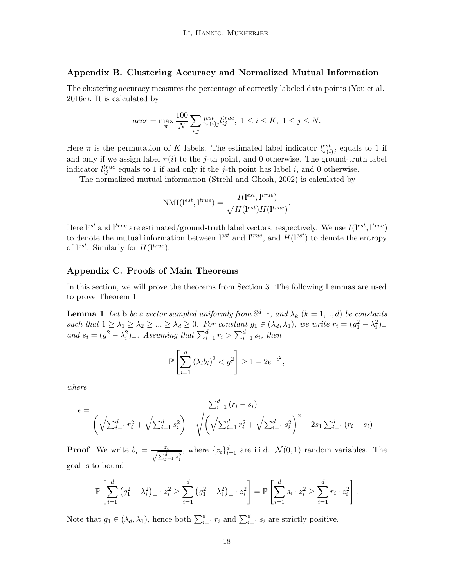#### <span id="page-17-1"></span>Appendix B. Clustering Accuracy and Normalized Mutual Information

The clustering accuracy measures the percentage of correctly labeled data points [\(You et al.,](#page-36-3) [2016c\)](#page-36-3). It is calculated by

$$
accr=\max_{\pi}\frac{100}{N}\sum_{i,j}l^{est}_{\pi(i)j}l^{true}_{ij},\ 1\leq i\leq K,\ 1\leq j\leq N.
$$

Here  $\pi$  is the permutation of K labels. The estimated label indicator  $l_{\pi(i)j}^{est}$  equals to 1 if and only if we assign label  $\pi(i)$  to the j-th point, and 0 otherwise. The ground-truth label indicator  $l_{ij}^{true}$  equals to 1 if and only if the j-th point has label i, and 0 otherwise.

The normalized mutual information [\(Strehl and Ghosh, 2002\)](#page-36-8) is calculated by

$$
\text{NMI}(\mathbf{l}^{est}, \mathbf{l}^{true}) = \frac{I(\mathbf{l}^{est}, \mathbf{l}^{true})}{\sqrt{H(\mathbf{l}^{est})H(\mathbf{l}^{true})}}.
$$

Here  $I^{est}$  and  $I^{true}$  are estimated/ground-truth label vectors, respectively. We use  $I(I^{est}, I^{true})$ to denote the mutual information between  $\mathbf{l}^{est}$  and  $\mathbf{l}^{true}$ , and  $H(\mathbf{l}^{est})$  to denote the entropy of  $\mathbf{l}^{est}$ . Similarly for  $H(\mathbf{l}^{true})$ .

#### <span id="page-17-0"></span>Appendix C. Proofs of Main Theorems

In this section, we will prove the theorems from Section [3.](#page-4-0) The following Lemmas are used to prove Theorem [1.](#page-8-0)

**Lemma 1** Let **b** be a vector sampled uniformly from  $\mathbb{S}^{d-1}$ , and  $\lambda_k$   $(k = 1, ..., d)$  be constants such that  $1 \geq \lambda_1 \geq \lambda_2 \geq ... \geq \lambda_d \geq 0$ . For constant  $g_1 \in (\lambda_d, \lambda_1)$ , we write  $r_i = (g_1^2 - \lambda_i^2)_+$ and  $s_i = (g_1^2 - \lambda_i^2)$ . Assuming that  $\sum_{i=1}^d r_i > \sum_{i=1}^d s_i$ , then

<span id="page-17-2"></span>
$$
\mathbb{P}\left[\sum_{i=1}^d \left(\lambda_i b_i\right)^2 < g_1^2\right] \ge 1 - 2e^{-\epsilon^2},
$$

where

$$
\epsilon = \frac{\sum_{i=1}^{d} (r_i - s_i)}{\left(\sqrt{\sum_{i=1}^{d} r_i^2} + \sqrt{\sum_{i=1}^{d} s_i^2}\right) + \sqrt{\left(\sqrt{\sum_{i=1}^{d} r_i^2} + \sqrt{\sum_{i=1}^{d} s_i^2}\right)^2 + 2s_1 \sum_{i=1}^{d} (r_i - s_i)}}.
$$

**Proof** We write  $b_i = \frac{z_i}{\sqrt{\sum_{j=1}^d z_j^2}}$ , where  $\{z_i\}_{i=1}^d$  are i.i.d.  $\mathcal{N}(0,1)$  random variables. The goal is to bound

$$
\mathbb{P}\left[\sum_{i=1}^{d} (g_1^2 - \lambda_i^2)_{-} \cdot z_i^2 \geq \sum_{i=1}^{d} (g_1^2 - \lambda_i^2)_{+} \cdot z_i^2\right] = \mathbb{P}\left[\sum_{i=1}^{d} s_i \cdot z_i^2 \geq \sum_{i=1}^{d} r_i \cdot z_i^2\right].
$$

Note that  $g_1 \in (\lambda_d, \lambda_1)$ , hence both  $\sum_{i=1}^d r_i$  and  $\sum_{i=1}^d s_i$  are strictly positive.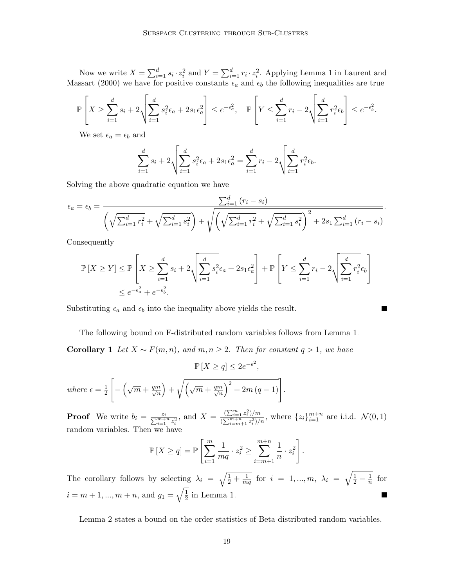Now we write  $X = \sum_{i=1}^d s_i \cdot z_i^2$  and  $Y = \sum_{i=1}^d r_i \cdot z_i^2$ . Applying Lemma 1 in [Laurent and](#page-34-12) [Massart](#page-34-12) [\(2000\)](#page-34-12) we have for positive constants  $\epsilon_a$  and  $\epsilon_b$  the following inequalities are true

$$
\mathbb{P}\left[X \geq \sum_{i=1}^d s_i + 2\sqrt{\sum_{i=1}^d s_i^2 \epsilon_a + 2s_1\epsilon_a^2}\right] \leq e^{-\epsilon_a^2}, \quad \mathbb{P}\left[Y \leq \sum_{i=1}^d r_i - 2\sqrt{\sum_{i=1}^d r_i^2 \epsilon_b}\right] \leq e^{-\epsilon_b^2}.
$$

We set  $\epsilon_a = \epsilon_b$  and

$$
\sum_{i=1}^{d} s_i + 2\sqrt{\sum_{i=1}^{d} s_i^2 \epsilon_a + 2s_1 \epsilon_a^2} = \sum_{i=1}^{d} r_i - 2\sqrt{\sum_{i=1}^{d} r_i^2 \epsilon_b}.
$$

Solving the above quadratic equation we have

$$
\epsilon_a = \epsilon_b = \frac{\sum_{i=1}^d (r_i - s_i)}{\left(\sqrt{\sum_{i=1}^d r_i^2} + \sqrt{\sum_{i=1}^d s_i^2}\right) + \sqrt{\left(\sqrt{\sum_{i=1}^d r_i^2} + \sqrt{\sum_{i=1}^d s_i^2}\right)^2 + 2s_1 \sum_{i=1}^d (r_i - s_i)}}.
$$

Consequently

$$
\mathbb{P}\left[X \ge Y\right] \le \mathbb{P}\left[X \ge \sum_{i=1}^d s_i + 2\sqrt{\sum_{i=1}^d s_i^2 \epsilon_a + 2s_1\epsilon_a^2}\right] + \mathbb{P}\left[Y \le \sum_{i=1}^d r_i - 2\sqrt{\sum_{i=1}^d r_i^2 \epsilon_b}\right]
$$
  

$$
\le e^{-\epsilon_a^2} + e^{-\epsilon_b^2}.
$$

Substituting  $\epsilon_a$  and  $\epsilon_b$  into the inequality above yields the result.

The following bound on F-distributed random variables follows from Lemma [1.](#page-17-2)

<span id="page-18-1"></span>**Corollary 1** Let  $X \sim F(m, n)$ , and  $m, n \ge 2$ . Then for constant  $q > 1$ , we have

 $\mathbb{P}[X \ge q] \le 2e^{-\epsilon^2},$ where  $\epsilon = \frac{1}{2}$ 2  $\lceil$  $-\left(\sqrt{m}+\frac{qm}{\sqrt{n}}\right)$  $\overline{n}$  $+\sqrt{(\sqrt{m}+\frac{qm}{\sqrt{n}})}$ n  $\sqrt{2^2 + 2m (q-1)}$ .

**Proof** We write  $b_i = \frac{z_i}{\sum_{i=1}^{m+n} z_i^2}$ , and  $X = \frac{(\sum_{i=1}^m z_i^2)/m}{(\sum_{i=m+1}^{m+n} z_i^2)/m}$  $\frac{(\sum_{i=1}^{m+n} z_i^2)/m}{(\sum_{i=m+1}^{m+n} z_i^2)/n}$ , where  $\{z_i\}_{i=1}^{m+n}$  are i.i.d.  $\mathcal{N}(0, 1)$ random variables. Then we have

<span id="page-18-0"></span>
$$
\mathbb{P}[X \ge q] = \mathbb{P}\left[\sum_{i=1}^{m} \frac{1}{mq} \cdot z_i^2 \ge \sum_{i=m+1}^{m+n} \frac{1}{n} \cdot z_i^2\right].
$$

The corollary follows by selecting  $\lambda_i = \sqrt{\frac{1}{2} + \frac{1}{m}}$  $\frac{1}{mq}$  for  $i = 1, ..., m, \lambda_i = \sqrt{\frac{1}{2} - \frac{1}{n}}$  $\frac{1}{n}$  for  $i = m+1, ..., m+n$ , and  $g_1 = \sqrt{\frac{1}{2}}$  $\frac{1}{2}$  in Lemma [1.](#page-17-2)

Lemma [2](#page-18-0) states a bound on the order statistics of Beta distributed random variables.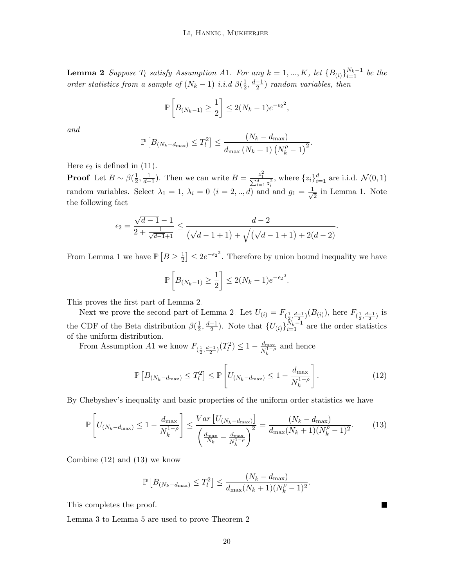**Lemma 2** Suppose  $T_l$  satisfy Assumption A1. For any  $k = 1, ..., K$ , let  ${B_{(i)}}_{i=1}^{N_k-1}$  be the order statistics from a sample of  $(N_k - 1)$  i.i.d  $\beta(\frac{1}{2})$  $\frac{1}{2}, \frac{d-1}{2}$  $\frac{-1}{2}$ ) random variables, then

$$
\mathbb{P}\left[B_{(N_k-1)} \ge \frac{1}{2}\right] \le 2(N_k-1)e^{-\epsilon_2^2},
$$

and

$$
\mathbb{P}\left[B_{(N_k-d_{\max})} \leq T_l^2\right] \leq \frac{(N_k-d_{\max})}{d_{\max}(N_k+1)\left(N_k^{\rho}-1\right)^2}.
$$

Here  $\epsilon_2$  is defined in [\(11\)](#page-9-4).

**Proof** Let  $B \sim \beta(\frac{1}{2})$  $(\frac{1}{2}, \frac{1}{d-1})$ . Then we can write  $B = \frac{z_1^2}{\sum_{i=1}^d z_i^2}$ , where  $\{z_i\}_{i=1}^d$  are i.i.d.  $\mathcal{N}(0, 1)$ random variables. Select  $\lambda_1 = 1, \lambda_i = 0$   $(i = 2, ..., d)$  and and  $g_1 = \frac{1}{\sqrt{2}}$  $\frac{1}{2}$  in Lemma [1.](#page-17-2) Note the following fact

$$
\epsilon_2 = \frac{\sqrt{d-1}-1}{2 + \frac{1}{\sqrt{d-1}+1}} \le \frac{d-2}{\left(\sqrt{d-1}+1\right) + \sqrt{\left(\sqrt{d-1}+1\right) + 2(d-2)}}
$$

From Lemma [1](#page-17-2) we have  $\mathbb{P}\left[B \geq \frac{1}{2}\right]$  $\frac{1}{2}$   $\leq$  2e<sup>- $\epsilon$ 2</sub><sup>2</sup>. Therefore by union bound inequality we have</sup>

$$
\mathbb{P}\left[B_{(N_k-1)} \ge \frac{1}{2}\right] \le 2(N_k-1)e^{-\epsilon_2^2}.
$$

This proves the first part of Lemma [2.](#page-18-0)

Next we prove the second part of Lemma [2.](#page-18-0) Let  $U_{(i)} = F_{(\frac{1}{2}, \frac{d-1}{2})}(B_{(i)})$ , here  $F_{(\frac{1}{2}, \frac{d-1}{2})}$  is the CDF of the Beta distribution  $\beta(\frac{1}{2})$  $\frac{1}{2}, \frac{d-1}{2}$  $\frac{-1}{2}$ ). Note that  $\{U_{(i)}\}_{i=1}^{\bar{N}_k-1}$  are the order statistics of the uniform distribution.

From Assumption A1 we know  $F_{(\frac{1}{2}, \frac{d-1}{2})}(T_l^2) \leq 1 - \frac{d_{\max}}{N_k^{1-\mu}}$  $\frac{d_{\text{max}}}{N_k^{1-\rho}}$  and hence

$$
\mathbb{P}\left[B_{(N_k-d_{\max})} \le T_l^2\right] \le \mathbb{P}\left[U_{(N_k-d_{\max})} \le 1 - \frac{d_{\max}}{N_k^{1-\rho}}\right].\tag{12}
$$

By Chebyshev's inequality and basic properties of the uniform order statistics we have

$$
\mathbb{P}\left[U_{(N_k-d_{\max})} \le 1 - \frac{d_{\max}}{N_k^{1-\rho}}\right] \le \frac{Var\left[U_{(N_k-d_{\max})}\right]}{\left(\frac{d_{\max}}{N_k} - \frac{d_{\max}}{N_k^{1-\rho}}\right)^2} = \frac{(N_k - d_{\max})}{d_{\max}(N_k+1)(N_k^{\rho} - 1)^2}.\tag{13}
$$

Combine [\(12\)](#page-19-0) and [\(13\)](#page-19-1) we know

$$
\mathbb{P}\left[B_{(N_k-d_{\max})} \le T_l^2\right] \le \frac{(N_k-d_{\max})}{d_{\max}(N_k+1)(N_k^{\rho}-1)^2}.
$$

This completes the proof.

<span id="page-19-2"></span>Lemma [3](#page-19-2) to Lemma [5](#page-21-0) are used to prove Theorem [2.](#page-9-1)

<span id="page-19-1"></span>

<span id="page-19-0"></span>.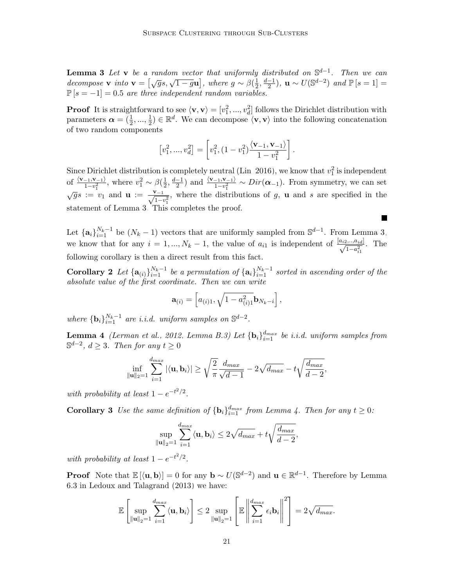**Lemma 3** Let v be a random vector that uniformly distributed on  $\mathbb{S}^{d-1}$ . Then we can **Letting 3** Let  $\bf{v}$  be a random bector that anyormig<br>decompose  $\bf{v}$  into  $\bf{v} = [\sqrt{g}s, \sqrt{1-g}\bf{u}]$ , where  $g \sim \beta(\frac{1}{2})$  $\frac{1}{2}, \frac{d-1}{2}$  $\frac{-1}{2}$ ), **u** ~  $U(\mathbb{S}^{d-2})$  and  $\mathbb{P}[s=1]$  =  $\mathbb{P}[s = -1] = 0.5$  are three independent random variables.

**Proof** It is straightforward to see  $\langle v, v \rangle = [v_1^2, ..., v_d^2]$  follows the Dirichlet distribution with parameters  $\boldsymbol{\alpha} = (\frac{1}{2}, ..., \frac{1}{2})$  $\frac{1}{2}$ )  $\in \mathbb{R}^d$ . We can decompose  $\langle \mathbf{v}, \mathbf{v} \rangle$  into the following concatenation of two random components

$$
[v_1^2, ..., v_d^2] = \left[ v_1^2, (1 - v_1^2) \frac{\langle \mathbf{v}_{-1}, \mathbf{v}_{-1} \rangle}{1 - v_1^2} \right].
$$

Since Dirichlet distribution is completely neutral [\(Lin, 2016\)](#page-35-13), we know that  $v_1^2$  is independent Since Dirichlet distribution is completely heutral (Lin, 2010), we know that  $v_1$ <br>of  $\frac{\langle v_{-1}, v_{-1}\rangle}{1-v_1^2}$ , where  $v_1^2 \sim \beta(\frac{1}{2}, \frac{d-1}{2})$  and  $\frac{\langle v_{-1}, v_{-1}\rangle}{1-v_1^2} \sim Dir(\boldsymbol{\alpha}_{-1})$ . From symme  $\frac{1}{2}, \frac{d-1}{2}$  $\frac{(-1)^{2}}{2}$  and  $\frac{\langle \mathbf{v}_{-1}, \mathbf{v}_{-1} \rangle}{1 - v_1^2}$  ∼  $Dir(\mathbf{\alpha}_{-1})$ . From symmetry, we can set  $\sqrt{g}s := v_1$  and  $\mathbf{u} := \frac{\mathbf{v}_{-1}}{\sqrt{1-v_1^2}}$ , where the distributions of g, **u** and s are specified in the statement of Lemma [3.](#page-19-2) This completes the proof.

Let  $\{a_i\}_{i=1}^{N_k-1}$  be  $(N_k-1)$  vectors that are uniformly sampled from  $\mathbb{S}^{d-1}$ . From Lemma [3,](#page-19-2) we know that for any  $i = 1, ..., N_k - 1$ , the value of  $a_{i1}$  is independent of  $\frac{[a_{i2},...,a_{id}]}{\sqrt{1-a_{i1}^2}}$ . The following corollary is then a direct result from this fact.

 $\blacksquare$ 

**Corollary 2** Let  $\{\mathbf{a}_{(i)}\}_{i=1}^{N_k-1}$  be a permutation of  $\{\mathbf{a}_i\}_{i=1}^{N_k-1}$  sorted in ascending order of the absolute value of the first coordinate. Then we can write

<span id="page-20-2"></span>
$$
\mathbf{a}_{(i)} = \left[ a_{(i)1}, \sqrt{1 - a_{(i)1}^2} \mathbf{b}_{N_k - i} \right],
$$

where  $\{b_i\}_{i=1}^{N_k-1}$  are i.i.d. uniform samples on  $\mathbb{S}^{d-2}$ .

<span id="page-20-1"></span>**Lemma 4** [\(Lerman et al., 2012,](#page-35-8) Lemma B.3) Let  ${ \bf{b}_i \}^{d_{max}}_{i=1}$  be *i.i.d.* uniform samples from  $\mathbb{S}^{d-2}$ ,  $d \geq 3$ . Then for any  $t \geq 0$ 

$$
\inf_{\|\mathbf{u}\|_2=1} \sum_{i=1}^{d_{max}} |\langle \mathbf{u}, \mathbf{b}_i \rangle| \ge \sqrt{\frac{2}{\pi}} \frac{d_{max}}{\sqrt{d-1}} - 2\sqrt{d_{max}} - t\sqrt{\frac{d_{max}}{d-2}},
$$

with probability at least  $1 - e^{-t^2/2}$ .

<span id="page-20-0"></span>**Corollary 3** Use the same definition of  ${\bf b}_i$ ,  $d_{max}$  from Lemma [4.](#page-20-1) Then for any  $t \ge 0$ :

$$
\sup_{\|\mathbf{u}\|_2=1} \sum_{i=1}^{d_{max}} \langle \mathbf{u}, \mathbf{b}_i \rangle \leq 2\sqrt{d_{max}} + t\sqrt{\frac{d_{max}}{d-2}},
$$

with probability at least  $1 - e^{-t^2/2}$ .

**Proof** Note that  $\mathbb{E}[\langle \mathbf{u}, \mathbf{b} \rangle] = 0$  for any  $\mathbf{b} \sim U(\mathbb{S}^{d-2})$  and  $\mathbf{u} \in \mathbb{R}^{d-1}$ . Therefore by Lemma 6.3 in [Ledoux and Talagrand](#page-34-13) [\(2013\)](#page-34-13) we have:

$$
\mathbb{E}\left[\sup_{\|\mathbf{u}\|_2=1}\sum_{i=1}^{d_{max}}\langle\mathbf{u},\mathbf{b}_i\rangle\right]\leq 2\sup_{\|\mathbf{u}\|_2=1}\left[\mathbb{E}\left\|\sum_{i=1}^{d_{max}}\epsilon_i\mathbf{b}_i\right\|^2\right]=2\sqrt{d_{max}}.
$$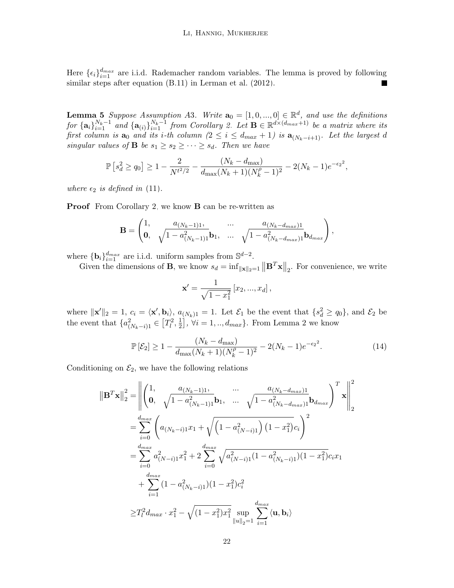Here  $\{\epsilon_i\}_{i=1}^{d_{max}}$  are i.i.d. Rademacher random variables. The lemma is proved by following similar steps after equation (B.11) in [Lerman et al.](#page-35-8) [\(2012\)](#page-35-8).

<span id="page-21-0"></span>**Lemma 5** Suppose Assumption A3. Write  $\mathbf{a}_0 = [1, 0, ..., 0] \in \mathbb{R}^d$ , and use the definitions  $for \{\mathbf{a}_i\}_{i=1}^{N_k-1}$  and  $\{\mathbf{a}_{(i)}\}_{i=1}^{N_k-1}$  from Corollary [2.](#page-20-2) Let  $\mathbf{B} \in \mathbb{R}^{d \times (d_{max}+1)}$  be a matrix where its first column is  $a_0$  and its i-th column  $(2 \leq i \leq d_{max} + 1)$  is  $a_{(N_k-i+1)}$ . Let the largest d singular values of **B** be  $s_1 \geq s_2 \geq \cdots \geq s_d$ . Then we have

$$
\mathbb{P}\left[s_d^2 \ge q_0\right] \ge 1 - \frac{2}{N^{t^2/2}} - \frac{(N_k - d_{\text{max}})}{d_{\text{max}}(N_k + 1)(N_k^{\rho} - 1)^2} - 2(N_k - 1)e^{-\epsilon_2^2},
$$

where  $\epsilon_2$  is defined in [\(11\)](#page-9-4).

**Proof** From Corollary [2,](#page-20-2) we know **B** can be re-written as

$$
\mathbf{B} = \begin{pmatrix} 1, & a_{(N_k-1)1}, & \dots & a_{(N_k-d_{max})1} \\ \mathbf{0}, & \sqrt{1-a_{(N_k-1)1}^2} \mathbf{b}_1, & \dots & \sqrt{1-a_{(N_k-d_{max})1}^2} \mathbf{b}_{d_{max}} \end{pmatrix},
$$

where  $\{\mathbf{b}_i\}_{i=1}^{d_{max}}$  are i.i.d. uniform samples from  $\mathbb{S}^{d-2}$ .

Given the dimensions of **B**, we know  $s_d = \inf_{\|\mathbf{x}\|_2=1} \|\mathbf{B}^T\mathbf{x}\|_2$ . For convenience, we write

$$
\mathbf{x}' = \frac{1}{\sqrt{1 - x_1^2}} \left[ x_2, ..., x_d \right],
$$

where  $\|\mathbf{x}'\|_2 = 1$ ,  $c_i = \langle \mathbf{x}', \mathbf{b}_i \rangle$ ,  $a_{(N_k)1} = 1$ . Let  $\mathcal{E}_1$  be the event that  $\{s_d^2 \ge q_0\}$ , and  $\mathcal{E}_2$  be the event that  $\{a_{(N_k-i)1}^2 \in [T_l^2, \frac{1}{2}$  $\frac{1}{2}$ ,  $\forall i = 1, ..., d_{max}$ . From Lemma [2](#page-18-0) we know

$$
\mathbb{P}\left[\mathcal{E}_2\right] \ge 1 - \frac{(N_k - d_{\text{max}})}{d_{\text{max}}(N_k + 1)(N_k^{\rho} - 1)^2} - 2(N_k - 1)e^{-\epsilon_2^2}.\tag{14}
$$

Conditioning on  $\mathcal{E}_2$ , we have the following relations

$$
\|\mathbf{B}^{T}\mathbf{x}\|_{2}^{2} = \left\| \begin{pmatrix} 1, & a_{(N_{k}-1)1}, & \dots & a_{(N_{k}-d_{max})1} \\ \mathbf{0}, & \sqrt{1-a_{(N_{k}-1)1}^{2}}\mathbf{b}_{1}, & \dots & \sqrt{1-a_{(N_{k}-d_{max})1}^{2}}\mathbf{b}_{d_{max}} \end{pmatrix}^{T}\mathbf{x} \right\|_{2}^{2}
$$
  
\n
$$
= \sum_{i=0}^{d_{max}} \left( a_{(N_{k}-i)1}x_{1} + \sqrt{\left(1-a_{(N-i)1}^{2}\right)\left(1-x_{1}^{2}\right)}c_{i} \right)^{2}
$$
  
\n
$$
= \sum_{i=0}^{d_{max}} a_{(N-i)1}^{2}x_{1}^{2} + 2\sum_{i=0}^{d_{max}} \sqrt{a_{(N-i)1}^{2}\left(1-a_{(N_{k}-i)1}^{2}\right)\left(1-x_{1}^{2}\right)}c_{i}x_{1}
$$
  
\n
$$
+ \sum_{i=1}^{d_{max}} (1-a_{(N_{k}-i)1}^{2})(1-x_{1}^{2})c_{i}^{2}
$$
  
\n
$$
\geq T_{l}^{2}d_{max} \cdot x_{1}^{2} - \sqrt{(1-x_{1}^{2})x_{1}^{2}} \sup_{\|u\|_{2}=1} \sum_{i=1}^{d_{max}} \langle \mathbf{u}, \mathbf{b}_{i} \rangle
$$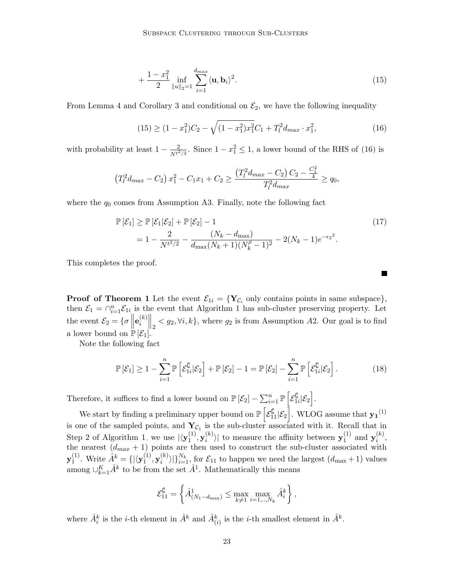$$
+\frac{1-x_1^2}{2}\inf_{\|u\|_2=1}\sum_{i=1}^{d_{max}}\langle \mathbf{u}, \mathbf{b}_i\rangle^2.
$$
 (15)

From Lemma [4](#page-20-1) and Corollary [3](#page-20-0) and conditional on  $\mathcal{E}_2$ , we have the following inequality

$$
(15) \ge (1 - x_1^2)C_2 - \sqrt{(1 - x_1^2)x_1^2}C_1 + T_l^2 d_{max} \cdot x_1^2,
$$
\n(16)

with probability at least  $1 - \frac{2}{N^{t^2/2}}$ . Since  $1 - x_1^2 \le 1$ , a lower bound of the RHS of [\(16\)](#page-22-1) is

$$
\left(T_l^2d_{max} - C_2\right)x_1^2 - C_1x_1 + C_2 \ge \frac{\left(T_l^2d_{max} - C_2\right)C_2 - \frac{C_1^2}{4}}{T_l^2d_{max}} \ge q_0,
$$

where the  $q_0$  comes from Assumption A3. Finally, note the following fact

$$
\mathbb{P}[\mathcal{E}_1] \ge \mathbb{P}[\mathcal{E}_1|\mathcal{E}_2] + \mathbb{P}[\mathcal{E}_2] - 1
$$
\n
$$
= 1 - \frac{2}{N^{t^2/2}} - \frac{(N_k - d_{\text{max}})}{d_{\text{max}}(N_k + 1)(N_k^{\rho} - 1)^2} - 2(N_k - 1)e^{-\epsilon_2^2}.
$$
\n(17)

<span id="page-22-1"></span><span id="page-22-0"></span>П

This completes the proof.

**Proof of Theorem [1](#page-8-0)** Let the event  $\mathcal{E}_{1i} = \{Y_{\mathcal{C}_i}$  only contains points in same subspace, then  $\mathcal{E}_1 = \bigcap_{i=1}^n \mathcal{E}_{1i}$  is the event that Algorithm [1](#page-5-0) has sub-cluster preserving property. Let the event  $\mathcal{E}_2 = \{ \sigma \mid \parallel$  $\mathbf{e}_i^{(k)}$  $\|f_{i}\|_{2} \leq g_{2}, \forall i, k\},$  where  $g_{2}$  is from Assumption A2. Our goal is to find a lower bound on  $\mathbb{P}[\mathcal{E}_1]$ .

Note the following fact

$$
\mathbb{P}\left[\mathcal{E}_1\right] \geq 1 - \sum_{i=1}^n \mathbb{P}\left[\mathcal{E}_{1i}^{\complement}|\mathcal{E}_2\right] + \mathbb{P}\left[\mathcal{E}_2\right] - 1 = \mathbb{P}\left[\mathcal{E}_2\right] - \sum_{i=1}^n \mathbb{P}\left[\mathcal{E}_{1i}^{\complement}|\mathcal{E}_2\right].\tag{18}
$$

Therefore, it suffices to find a lower bound on  $\mathbb{P}[\mathcal{E}_2] - \sum_{i=1}^n \mathbb{P}[\mathcal{E}_1^{\complement}$  $\frac{1}{1i}|\mathcal{E}_2\Big]$  .

We start by finding a preliminary upper bound on  $\mathbb{P}\left[\mathcal{E}_{11}^{\complement}|\mathcal{E}_2\right]$ . WLOG assume that  $\mathbf{y_1}^{(1)}$ is one of the sampled points, and  $Y_{\mathcal{C}_1}$  is the sub-cluster associated with it. Recall that in Step 2 of Algorithm [1,](#page-5-0) we use  $|\langle y_1^{(1)} \rangle$  $\mathbf{y}_i^{(1)}, \mathbf{y}_i^{(k)}$  $\binom{k}{i}$  to measure the affinity between  $\mathbf{y}_1^{(1)}$  $j_1^{(1)}$  and  $\mathbf{y}_i^{(k)}$  $\binom{\kappa}{i}$ the nearest  $(d_{max} + 1)$  points are then used to construct the sub-cluster associated with  $\mathbf{y}^{(1)}_1$  $\hat{A}^k = \{|\langle \mathbf{y}_1^{(1)}\rangle\rangle$  $\mathbf{y}_i^{(1)}, \mathbf{y}_i^{(k)}$  $\{(\kappa)\}_{i=1}^{N_k}$ , for  $\mathcal{E}_{11}$  to happen we need the largest  $(d_{\max} + 1)$  values among  $\cup_{k=1}^{K} \hat{A}^k$  to be from the set  $\hat{A}^1$ . Mathematically this means

$$
\mathcal{E}_{11}^{\complement} = \left\{ \hat{A}_{(N_1-d_{\max})}^1 \leq \max_{k \neq 1} \max_{i=1,\dots,N_k} \hat{A}_i^k \right\},\,
$$

where  $\hat{A}_i^k$  is the *i*-th element in  $\hat{A}^k$  and  $\hat{A}_{(i)}^k$  is the *i*-th smallest element in  $\hat{A}^k$ .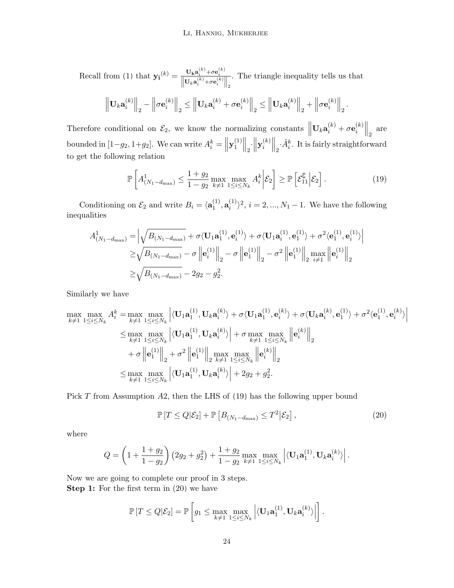$\text{Recall from (1) that } \mathbf{y_i}^{(k)} = \frac{\mathbf{U_k a_i^{(k)} + \sigma e_i^{(k)}}}{\left\| \mathbf{U_k a_i^{(k)} + \sigma e_i^{(k)}} \right\|_2}$  $\text{Recall from (1) that } \mathbf{y_i}^{(k)} = \frac{\mathbf{U_k a_i^{(k)} + \sigma e_i^{(k)}}}{\left\| \mathbf{U_k a_i^{(k)} + \sigma e_i^{(k)}} \right\|_2}$  $\text{Recall from (1) that } \mathbf{y_i}^{(k)} = \frac{\mathbf{U_k a_i^{(k)} + \sigma e_i^{(k)}}}{\left\| \mathbf{U_k a_i^{(k)} + \sigma e_i^{(k)}} \right\|_2}$ . The triangle inequality tells us that  $\left\Vert \mathbf{U}_{k}\mathbf{a}_{i}^{(k)}\right\Vert$  $\binom{k}{i}\bigg|_{2} - \bigg\|_{2}$  $\sigma\mathbf{e}^{(k)}_i$  $\begin{aligned} \mathbf{u}_i^{(k)} \big\|_2 &\leq \Big\| \mathbf{U}_k \mathbf{a}_i^{(k)} + \sigma \mathbf{e}_i^{(k)} \end{aligned}$  $\left\|\mathbf{U}_k\mathbf{a}_i^{(k)}\right\|_2 \leq \left\|\mathbf{U}_k\mathbf{a}_i^{(k)}\right\|_2$  $\binom{k}{i}\Big|_{2} + \Big|_{2}$  $\sigma\mathbf{e}^{(k)}_i$  $\begin{bmatrix} k \\ i \end{bmatrix}$   $\begin{bmatrix} k \\ 2 \end{bmatrix}$ .

Therefore conditional on  $\mathcal{E}_2$ , we know the normalizing constants  $\left\| \mathbf{U}_k \mathbf{a}_i^{(k)} + \sigma \mathbf{e}_i^{(k)} \right\|$  $\begin{bmatrix} (k) \\ i \end{bmatrix}$  are bounded in  $[1-g_2, 1+g_2]$ . We can write  $A_i^k = ||\mathbf{y}_1^{(1)}||$  $\left\| \frac{1}{2} \right\|_2 \cdot \left\| \mathbf{y}_{i}^{(k)} \right\|$  $\left\Vert \frac{\partial \phi}{\partial t}\right\Vert_2 \cdot \hat{A}^k_i$ . It is fairly straightforward to get the following relation

<span id="page-23-0"></span>
$$
\mathbb{P}\left[A_{(N_1-d_{\max})}^1 \leq \frac{1+g_2}{1-g_2} \max_{k \neq 1} \max_{1 \leq i \leq N_k} A_i^k \middle| \mathcal{E}_2\right] \geq \mathbb{P}\left[\mathcal{E}_{11}^{\complement} \middle| \mathcal{E}_2\right].\tag{19}
$$

Conditioning on  $\mathcal{E}_2$  and write  $B_i = \langle \mathbf{a}_1^{(1)} \rangle$  $\overset{(1)}{1},\textbf{a}^{(1)}_i$  $\binom{1}{i}$ ,  $i = 2, ..., N_1 - 1$ . We have the following inequalities

$$
A_{(N_1-d_{\max})}^1 = \left| \sqrt{B_{(N_1-d_{\max})}} + \sigma \langle \mathbf{U}_1 \mathbf{a}_1^{(1)}, \mathbf{e}_i^{(1)} \rangle + \sigma \langle \mathbf{U}_1 \mathbf{a}_i^{(1)}, \mathbf{e}_1^{(1)} \rangle + \sigma^2 \langle \mathbf{e}_1^{(1)}, \mathbf{e}_i^{(1)} \rangle \right|
$$
  
\n
$$
\geq \sqrt{B_{(N_1-d_{\max})}} - \sigma \left\| \mathbf{e}_i^{(1)} \right\|_2 - \sigma \left\| \mathbf{e}_1^{(1)} \right\|_2 - \sigma^2 \left\| \mathbf{e}_1^{(1)} \right\|_2 \max_{i \neq 1} \left\| \mathbf{e}_i^{(1)} \right\|_2
$$
  
\n
$$
\geq \sqrt{B_{(N_1-d_{\max})}} - 2g_2 - g_2^2.
$$

Similarly we have

$$
\max_{k \neq 1} \max_{1 \leq i \leq N_k} A_i^k = \max_{k \neq 1} \max_{1 \leq i \leq N_k} \left| \langle \mathbf{U}_1 \mathbf{a}_1^{(1)}, \mathbf{U}_k \mathbf{a}_i^{(k)} \rangle + \sigma \langle \mathbf{U}_1 \mathbf{a}_1^{(1)}, \mathbf{e}_i^{(k)} \rangle + \sigma \langle \mathbf{U}_k \mathbf{a}_i^{(k)}, \mathbf{e}_1^{(1)} \rangle + \sigma^2 \langle \mathbf{e}_1^{(1)}, \mathbf{e}_i^{(k)} \rangle \right|
$$
\n
$$
\leq \max_{k \neq 1} \max_{1 \leq i \leq N_k} \left| \langle \mathbf{U}_1 \mathbf{a}_1^{(1)}, \mathbf{U}_k \mathbf{a}_i^{(k)} \rangle \right| + \sigma \max_{k \neq 1} \max_{1 \leq i \leq N_k} \left\| \mathbf{e}_i^{(k)} \right\|_2
$$
\n
$$
+ \sigma \left\| \mathbf{e}_1^{(1)} \right\|_2 + \sigma^2 \left\| \mathbf{e}_1^{(1)} \right\|_2 \max_{k \neq 1} \max_{1 \leq i \leq N_k} \left\| \mathbf{e}_i^{(k)} \right\|_2
$$
\n
$$
\leq \max_{k \neq 1} \max_{1 \leq i \leq N_k} \left| \langle \mathbf{U}_1 \mathbf{a}_1^{(1)}, \mathbf{U}_k \mathbf{a}_i^{(k)} \rangle \right| + 2g_2 + g_2^2.
$$

Pick T from Assumption A2, then the LHS of [\(19\)](#page-23-0) has the following upper bound

<span id="page-23-1"></span>
$$
\mathbb{P}\left[T \leq Q|\mathcal{E}_2\right] + \mathbb{P}\left[B_{(N_1 - d_{\text{max}})} \leq T^2|\mathcal{E}_2\right],\tag{20}
$$

where

$$
Q = \left(1 + \frac{1+g_2}{1-g_2}\right) \left(2g_2 + g_2^2\right) + \frac{1+g_2}{1-g_2} \max_{k \neq 1} \max_{1 \leq i \leq N_k} \left| \langle \mathbf{U}_1 \mathbf{a}_1^{(1)}, \mathbf{U}_k \mathbf{a}_i^{(k)} \rangle \right|.
$$

Now we are going to complete our proof in 3 steps. **Step 1:** For the first term in  $(20)$  we have

$$
\mathbb{P}\left[T \leq Q|\mathcal{E}_2\right] = \mathbb{P}\left[g_1 \leq \max_{k \neq 1} \max_{1 \leq i \leq N_k} \left| \langle \mathbf{U}_1 \mathbf{a}_1^{(1)}, \mathbf{U}_k \mathbf{a}_i^{(k)} \rangle \right|\right].
$$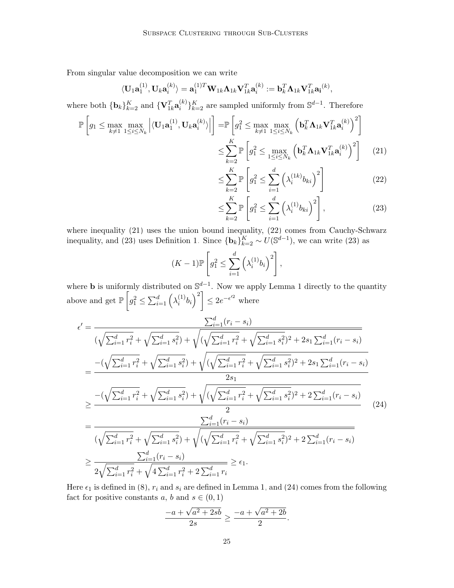From singular value decomposition we can write

$$
\langle \mathbf{U}_1 \mathbf{a}^{(1)}_1, \mathbf{U}_k \mathbf{a}^{(k)}_i \rangle = \mathbf{a}^{(1)T}_1 \mathbf{W}_{1k} \mathbf{\Lambda}_{1k} \mathbf{V}_{1k}^T \mathbf{a}^{(k)}_i := \mathbf{b}_k^T \mathbf{\Lambda}_{1k} \mathbf{V}_{1k}^T \mathbf{a_i}^{(k)},
$$

where both  $\{\mathbf b_k\}_{k=2}^K$  and  $\{\mathbf V_{1k}^T\mathbf a_i^{(k)}\}$  $\binom{k}{i}_{k=2}^{K}$  are sampled uniformly from  $\mathbb{S}^{d-1}$ . Therefore

$$
\mathbb{P}\left[g_1 \leq \max_{k \neq 1} \max_{1 \leq i \leq N_k} \left| \langle \mathbf{U}_1 \mathbf{a}_1^{(1)}, \mathbf{U}_k \mathbf{a}_i^{(k)} \rangle \right| \right] = \mathbb{P}\left[g_1^2 \leq \max_{k \neq 1} \max_{1 \leq i \leq N_k} \left( \mathbf{b}_k^T \mathbf{\Lambda}_{1k} \mathbf{V}_{1k}^T \mathbf{a}_i^{(k)} \right)^2 \right]
$$

$$
\leq \sum_{k=2}^K \mathbb{P}\left[g_1^2 \leq \max_{1 \leq i \leq N_k} \left( \mathbf{b}_k^T \mathbf{\Lambda}_{1k} \mathbf{V}_{1k}^T \mathbf{a}_i^{(k)} \right)^2 \right]
$$
(21)

<span id="page-24-1"></span><span id="page-24-0"></span>
$$
\leq \sum_{k=2}^{K} \mathbb{P}\left[g_1^2 \leq \sum_{i=1}^{d} \left(\lambda_i^{(1k)} b_{ki}\right)^2\right]
$$
\n(22)

<span id="page-24-2"></span>
$$
\leq \sum_{k=2}^{K} \mathbb{P}\left[g_1^2 \leq \sum_{i=1}^{d} \left(\lambda_i^{(1)} b_{ki}\right)^2\right],\tag{23}
$$

where inequality [\(21\)](#page-24-0) uses the union bound inequality, [\(22\)](#page-24-1) comes from Cauchy-Schwarz inequality, and [\(23\)](#page-24-2) uses Definition [1.](#page-5-1) Since  ${\bf \{b_k\}}_{k=2}^K \sim U(\mathbb{S}^{d-1})$ , we can write (23) as

$$
(K-1)\mathbb{P}\left[g_1^2 \le \sum_{i=1}^d \left(\lambda_i^{(1)}b_i\right)^2\right],
$$

where **b** is uniformly distributed on  $\mathbb{S}^{d-1}$ . Now we apply Lemma [1](#page-17-2) directly to the quantity above and get  $\mathbb{P}\left[g_1^2 \leq \sum_{i=1}^d \left(\lambda_i^{(1)}\right)\right]$  $\left[\begin{smallmatrix} (1) \ i \end{smallmatrix} \right] b_i \right)^2 \leq 2e^{-\epsilon'^2}$  where

$$
\epsilon' = \frac{\sum_{i=1}^{d} (r_i - s_i)}{(\sqrt{\sum_{i=1}^{d} r_i^2} + \sqrt{\sum_{i=1}^{d} s_i^2}) + \sqrt{(\sqrt{\sum_{i=1}^{d} r_i^2} + \sqrt{\sum_{i=1}^{d} s_i^2})^2 + 2s_1 \sum_{i=1}^{d} (r_i - s_i)}}\n= \frac{-(\sqrt{\sum_{i=1}^{d} r_i^2} + \sqrt{\sum_{i=1}^{d} s_i^2}) + \sqrt{(\sqrt{\sum_{i=1}^{d} r_i^2} + \sqrt{\sum_{i=1}^{d} s_i^2})^2 + 2s_1 \sum_{i=1}^{d} (r_i - s_i)}}{2s_1}\n\geq \frac{-(\sqrt{\sum_{i=1}^{d} r_i^2} + \sqrt{\sum_{i=1}^{d} s_i^2}) + \sqrt{(\sqrt{\sum_{i=1}^{d} r_i^2} + \sqrt{\sum_{i=1}^{d} s_i^2})^2 + 2\sum_{i=1}^{d} (r_i - s_i)}}{2}\n= \frac{\sum_{i=1}^{d} (r_i - s_i)}{(\sqrt{\sum_{i=1}^{d} r_i^2} + \sqrt{\sum_{i=1}^{d} s_i^2}) + \sqrt{(\sqrt{\sum_{i=1}^{d} r_i^2} + \sqrt{\sum_{i=1}^{d} s_i^2})^2 + 2\sum_{i=1}^{d} (r_i - s_i)}}\n\geq \frac{\sum_{i=1}^{d} (r_i - s_i)}{2\sqrt{\sum_{i=1}^{d} r_i^2} + \sqrt{4\sum_{i=1}^{d} r_i^2 + 2\sum_{i=1}^{d} r_i}} \geq \epsilon_1.
$$
\n(24)

Here  $\epsilon_1$  is defined in [\(8\)](#page-8-2),  $r_i$  and  $s_i$  are defined in Lemma [1,](#page-17-2) and [\(24\)](#page-24-3) comes from the following fact for positive constants  $a, b$  and  $s \in (0, 1)$ 

<span id="page-24-3"></span>
$$
\frac{-a + \sqrt{a^2 + 2sb}}{2s} \ge \frac{-a + \sqrt{a^2 + 2b}}{2}.
$$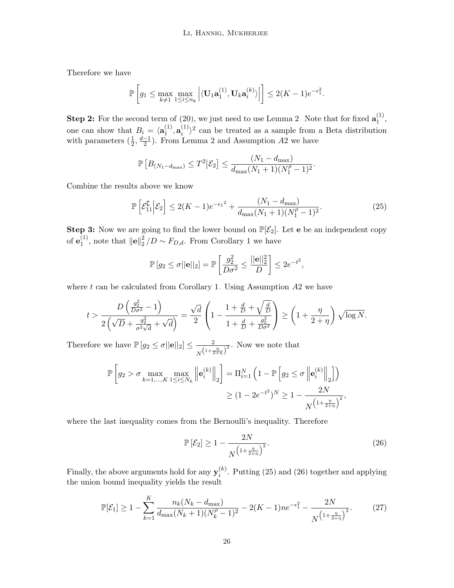Therefore we have

$$
\mathbb{P}\left[g_1 \leq \max_{k \neq 1} \max_{1 \leq i \leq n_k} \left| \langle \mathbf{U}_1 \mathbf{a}_1^{(1)}, \mathbf{U}_k \mathbf{a}_i^{(k)} \rangle \right| \right] \leq 2(K-1)e^{-\epsilon_1^2}.
$$

**Step 2:** For the second term of [\(20\)](#page-23-1), we just need to use Lemma [2.](#page-18-0) Note that for fixed  $\mathbf{a}_1^{(1)}$  $\frac{1}{1}$ , one can show that  $B_i = \langle \mathbf{a}_1^{(1)} \rangle$  $\overset{(1)}{1},\textbf{a}^{(1)}_i$  $\binom{1}{i}$  can be treated as a sample from a Beta distribution with parameters  $(\frac{1}{2}, \frac{d-1}{2})$  $\frac{-1}{2}$ ). From Lemma [2](#page-18-0) and Assumption A2 we have

$$
\mathbb{P}\left[B_{(N_1-d_{\max})} \leq T^2 | \mathcal{E}_2\right] \leq \frac{(N_1-d_{\max})}{d_{\max}(N_1+1)(N_1^{\rho}-1)^2}.
$$

Combine the results above we know

$$
\mathbb{P}\left[\mathcal{E}_{11}^{\complement}|\mathcal{E}_2\right] \le 2(K-1)e^{-\epsilon_1^2} + \frac{(N_1 - d_{\max})}{d_{\max}(N_1 + 1)(N_1^{\rho} - 1)^2}.
$$
\n(25)

**Step 3:** Now we are going to find the lower bound on  $\mathbb{P}[\mathcal{E}_2]$ . Let **e** be an independent copy of  $\mathbf{e}_1^{(1)}$  $\mathbf{I}^{(1)}$ , note that  $\|\mathbf{e}\|_2^2$  $\frac{2}{2}/D \sim F_{D,d}$ . From Corollary [1](#page-18-1) we have

<span id="page-25-0"></span>
$$
\mathbb{P}\left[g_2 \leq \sigma ||\mathbf{e}||_2\right] = \mathbb{P}\left[\frac{g_2^2}{D\sigma^2} \leq \frac{||\mathbf{e}||_2^2}{D}\right] \leq 2e^{-t^2},
$$

where  $t$  can be calculated from Corollary [1.](#page-18-1) Using Assumption  $A2$  we have

$$
t > \frac{D\left(\frac{g_2^2}{D\sigma^2} - 1\right)}{2\left(\sqrt{D} + \frac{g_2^2}{\sigma^2\sqrt{d}} + \sqrt{d}\right)} = \frac{\sqrt{d}}{2}\left(1 - \frac{1 + \frac{d}{D} + \sqrt{\frac{d}{D}}}{1 + \frac{d}{D} + \frac{g_2^2}{D\sigma^2}}\right) \ge \left(1 + \frac{\eta}{2 + \eta}\right)\sqrt{\log N}.
$$

Therefore we have  $\mathbb{P}\left[g_2 \leq \sigma ||\mathbf{e}||_2\right] \leq \frac{2}{\sigma}$  $\frac{2}{N(\frac{1+\frac{\eta}{2+\eta}}{2})^2}$ . Now we note that

$$
\mathbb{P}\left[g_2 > \sigma \max_{k=1,\dots,K} \max_{1 \le i \le N_k} \left\| \mathbf{e}_i^{(k)} \right\|_2 \right] = \Pi_{i=1}^N \left( 1 - \mathbb{P}\left[g_2 \le \sigma \left\| \mathbf{e}_i^{(k)} \right\|_2 \right] \right)
$$
\n
$$
\ge (1 - 2e^{-t^2})^N \ge 1 - \frac{2N}{N^{\left( 1 + \frac{\eta}{2 + \eta} \right)^2}},
$$

where the last inequality comes from the Bernoulli's inequality. Therefore

<span id="page-25-1"></span>
$$
\mathbb{P}\left[\mathcal{E}_2\right] \ge 1 - \frac{2N}{N^{\left(1 + \frac{\eta}{2 + \eta}\right)^2}}.\tag{26}
$$

Finally, the above arguments hold for any  $y_i^{(k)}$  $i^{(k)}$ . Putting [\(25\)](#page-25-0) and [\(26\)](#page-25-1) together and applying the union bound inequality yields the result

$$
\mathbb{P}[\mathcal{E}_1] \ge 1 - \sum_{k=1}^K \frac{n_k (N_k - d_{\text{max}})}{d_{\text{max}} (N_k + 1)(N_k^{\rho} - 1)^2} - 2(K - 1)n e^{-\epsilon_1^2} - \frac{2N}{N^{\left(1 + \frac{n}{2 + \eta}\right)^2}}.
$$
(27)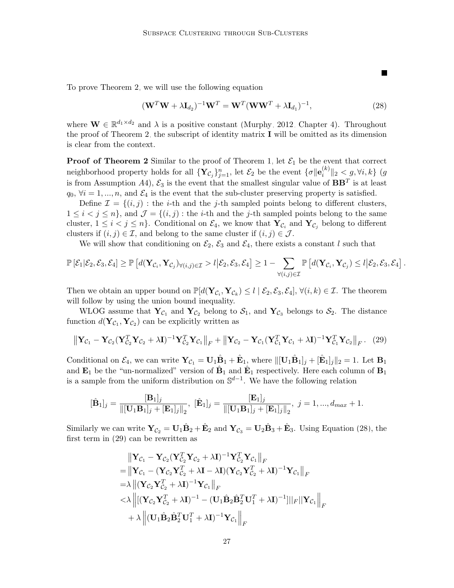To prove Theorem [2,](#page-9-1) we will use the following equation

$$
(\mathbf{W}^T \mathbf{W} + \lambda \mathbf{I}_{d_2})^{-1} \mathbf{W}^T = \mathbf{W}^T (\mathbf{W} \mathbf{W}^T + \lambda \mathbf{I}_{d_1})^{-1},
$$
\n(28)

<span id="page-26-0"></span>П

where  $\mathbf{W} \in \mathbb{R}^{d_1 \times d_2}$  and  $\lambda$  is a positive constant [\(Murphy, 2012,](#page-35-14) Chapter 4). Throughout the proof of Theorem [2,](#page-9-1) the subscript of identity matrix I will be omitted as its dimension is clear from the context.

**Proof of Theorem [2](#page-9-1)** Similar to the proof of Theorem [1,](#page-8-0) let  $\mathcal{E}_1$  be the event that correct neighborhood property holds for all  $\{Y_{\mathcal{C}_j}\}_{j=1}^n$ , let  $\mathcal{E}_2$  be the event  $\{\sigma | \mathbf{e}_i^{(k)}\}$  $\|x^{(k)}\|_2 < g, \forall i, k\}$  (g is from Assumption A4),  $\mathcal{E}_3$  is the event that the smallest singular value of  $BB^T$  is at least  $q_0, \forall i = 1, ..., n$ , and  $\mathcal{E}_4$  is the event that the sub-cluster preserving property is satisfied.

Define  $\mathcal{I} = \{(i, j) : \text{the } i\text{-th} \text{ and the } j\text{-th} \text{ sampled points belong to different clusters,}\}$  $1 \leq i < j \leq n$ , and  $\mathcal{J} = \{(i,j):$  the *i*-th and the *j*-th sampled points belong to the same cluster,  $1 \leq i < j \leq n$ . Conditional on  $\mathcal{E}_4$ , we know that  $\mathbf{Y}_{\mathcal{C}_i}$  and  $\mathbf{Y}_{\mathcal{C}_j}$  belong to different clusters if  $(i, j) \in \mathcal{I}$ , and belong to the same cluster if  $(i, j) \in \mathcal{J}$ .

We will show that conditioning on  $\mathcal{E}_2$ ,  $\mathcal{E}_3$  and  $\mathcal{E}_4$ , there exists a constant l such that

$$
\mathbb{P}\left[\mathcal{E}_1|\mathcal{E}_2,\mathcal{E}_3,\mathcal{E}_4\right] \geq \mathbb{P}\left[d(\mathbf{Y}_{\mathcal{C}_i},\mathbf{Y}_{\mathcal{C}_j})_{\forall (i,j)\in\mathcal{I}} > l \big|\mathcal{E}_2,\mathcal{E}_3,\mathcal{E}_4\right] \geq 1 - \sum_{\forall (i,j)\in\mathcal{I}} \mathbb{P}\left[d(\mathbf{Y}_{\mathcal{C}_i},\mathbf{Y}_{\mathcal{C}_j}) \leq l \big|\mathcal{E}_2,\mathcal{E}_3,\mathcal{E}_4\right].
$$

Then we obtain an upper bound on  $\mathbb{P}[d(\mathbf{Y}_{\mathcal{C}_i}, \mathbf{Y}_{\mathcal{C}_k}) \leq l \mid \mathcal{E}_2, \mathcal{E}_3, \mathcal{E}_4], \forall (i, k) \in \mathcal{I}$ . The theorem will follow by using the union bound inequality.

WLOG assume that  $Y_{\mathcal{C}_1}$  and  $Y_{\mathcal{C}_2}$  belong to  $\mathcal{S}_1$ , and  $Y_{\mathcal{C}_3}$  belongs to  $\mathcal{S}_2$ . The distance function  $d(\mathbf{Y}_{\mathcal{C}_1}, \mathbf{Y}_{\mathcal{C}_2})$  can be explicitly written as

<span id="page-26-1"></span>
$$
\left\|\mathbf{Y}_{\mathcal{C}_1}-\mathbf{Y}_{\mathcal{C}_2}(\mathbf{Y}_{\mathcal{C}_2}^T\mathbf{Y}_{\mathcal{C}_2}+\lambda\mathbf{I})^{-1}\mathbf{Y}_{\mathcal{C}_2}^T\mathbf{Y}_{\mathcal{C}_1}\right\|_F+\left\|\mathbf{Y}_{\mathcal{C}_2}-\mathbf{Y}_{\mathcal{C}_1}(\mathbf{Y}_{\mathcal{C}_1}^T\mathbf{Y}_{\mathcal{C}_1}+\lambda\mathbf{I})^{-1}\mathbf{Y}_{\mathcal{C}_1}^T\mathbf{Y}_{\mathcal{C}_2}\right\|_F. (29)
$$

Conditional on  $\mathcal{E}_4$ , we can write  $\mathbf{Y}_{\mathcal{C}_1} = \mathbf{U}_1 \hat{\mathbf{B}}_1 + \hat{\mathbf{E}}_1$ , where  $\|[\mathbf{U}_1 \hat{\mathbf{B}}_1]_j + [\hat{\mathbf{E}}_1]_j\|_2 = 1$ . Let  $\mathbf{B}_1$ and  $\mathbf{E}_1$  be the "un-normalized" version of  $\hat{\mathbf{B}}_1$  and  $\hat{\mathbf{E}}_1$  respectively. Here each column of  $\mathbf{B}_1$ is a sample from the uniform distribution on  $\mathbb{S}^{d-1}$ . We have the following relation

$$
[\hat{\mathbf{B}}_1]_j = \frac{[\mathbf{B}_1]_j}{\|[\mathbf{U}_1 \mathbf{B}_1]_j + [\mathbf{E}_1]_j\|_2}, \ [\hat{\mathbf{E}}_1]_j = \frac{[\mathbf{E}_1]_j}{\|[\mathbf{U}_1 \mathbf{B}_1]_j + [\mathbf{E}_1]_j\|_2}, \ j = 1, ..., d_{max} + 1.
$$

Similarly we can write  $Y_{\mathcal{C}_2} = U_1 \hat{B}_2 + \hat{E}_2$  and  $Y_{\mathcal{C}_3} = U_2 \hat{B}_3 + \hat{E}_3$ . Using Equation [\(28\)](#page-26-0), the first term in [\(29\)](#page-26-1) can be rewritten as

$$
\|\mathbf{Y}_{\mathcal{C}_1} - \mathbf{Y}_{\mathcal{C}_2} (\mathbf{Y}_{\mathcal{C}_2}^T \mathbf{Y}_{\mathcal{C}_2} + \lambda \mathbf{I})^{-1} \mathbf{Y}_{\mathcal{C}_2}^T \mathbf{Y}_{\mathcal{C}_1} \|_F
$$
\n  
\n=\n
$$
\|\mathbf{Y}_{\mathcal{C}_1} - (\mathbf{Y}_{\mathcal{C}_2} \mathbf{Y}_{\mathcal{C}_2}^T + \lambda \mathbf{I} - \lambda \mathbf{I}) (\mathbf{Y}_{\mathcal{C}_2} \mathbf{Y}_{\mathcal{C}_2}^T + \lambda \mathbf{I})^{-1} \mathbf{Y}_{\mathcal{C}_1} \|_F
$$
\n  
\n=\lambda \|( \mathbf{Y}\_{\mathcal{C}\_2} \mathbf{Y}\_{\mathcal{C}\_2}^T + \lambda \mathbf{I})^{-1} \mathbf{Y}\_{\mathcal{C}\_1} \|\_F\n  
\n
$$
< \lambda \left\| [(\mathbf{Y}_{\mathcal{C}_2} \mathbf{Y}_{\mathcal{C}_2}^T + \lambda \mathbf{I})^{-1} - (\mathbf{U}_1 \hat{\mathbf{B}}_2 \hat{\mathbf{B}}_2^T \mathbf{U}_1^T + \lambda \mathbf{I})^{-1} ] \|_F || \mathbf{Y}_{\mathcal{C}_1} ||_F
$$
\n  
\n
$$
+ \lambda \left\| (\mathbf{U}_1 \hat{\mathbf{B}}_2 \hat{\mathbf{B}}_2^T \mathbf{U}_1^T + \lambda \mathbf{I})^{-1} \mathbf{Y}_{\mathcal{C}_1} \right\|_F
$$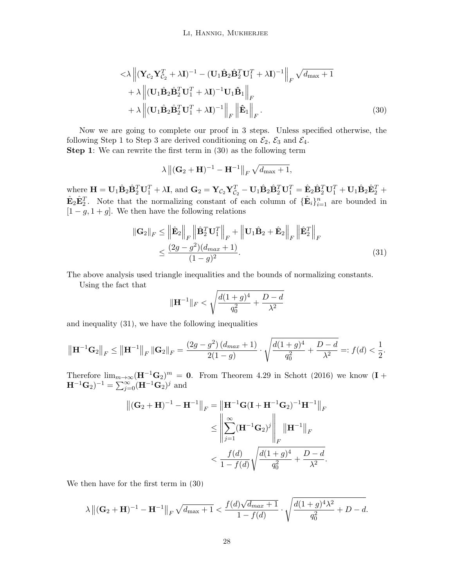<span id="page-27-0"></span>Li, Hannig, Mukherjee

$$
\langle \lambda \left\| (\mathbf{Y}_{\mathcal{C}_2} \mathbf{Y}_{\mathcal{C}_2}^T + \lambda \mathbf{I})^{-1} - (\mathbf{U}_1 \hat{\mathbf{B}}_2 \hat{\mathbf{B}}_2^T \mathbf{U}_1^T + \lambda \mathbf{I})^{-1} \right\|_F \sqrt{d_{\text{max}}} + 1
$$
  
+ 
$$
\lambda \left\| (\mathbf{U}_1 \hat{\mathbf{B}}_2 \hat{\mathbf{B}}_2^T \mathbf{U}_1^T + \lambda \mathbf{I})^{-1} \mathbf{U}_1 \hat{\mathbf{B}}_1 \right\|_F
$$
  
+ 
$$
\lambda \left\| (\mathbf{U}_1 \hat{\mathbf{B}}_2 \hat{\mathbf{B}}_2^T \mathbf{U}_1^T + \lambda \mathbf{I})^{-1} \right\|_F \left\| \hat{\mathbf{E}}_1 \right\|_F.
$$
 (30)

Now we are going to complete our proof in 3 steps. Unless specified otherwise, the following Step 1 to Step 3 are derived conditioning on  $\mathcal{E}_2$ ,  $\mathcal{E}_3$  and  $\mathcal{E}_4$ .

Step 1: We can rewrite the first term in  $(30)$  as the following term

$$
\lambda \left\| (\mathbf{G}_2 + \mathbf{H})^{-1} - \mathbf{H}^{-1} \right\|_F \sqrt{d_{\text{max}} + 1},
$$

where  $\mathbf{H} = \mathbf{U}_1 \hat{\mathbf{B}}_2 \hat{\mathbf{B}}_2^T \mathbf{U}_1^T + \lambda \mathbf{I}$ , and  $\mathbf{G}_2 = \mathbf{Y}_{\mathcal{C}_2} \mathbf{Y}_{\mathcal{C}_2}^T - \mathbf{U}_1 \hat{\mathbf{B}}_2 \hat{\mathbf{B}}_2^T \mathbf{U}_1^T = \hat{\mathbf{E}}_2 \hat{\mathbf{B}}_2^T \mathbf{U}_1^T + \mathbf{U}_1 \hat{\mathbf{B}}_2 \hat{\mathbf{E}}_2^T + \mathbf{U}_2 \hat{\mathbf$  $\hat{\mathbf{E}}_2 \hat{\mathbf{E}}_2^T$ . Note that the normalizing constant of each column of  $\{\hat{\mathbf{E}}_i\}_{i=1}^n$  are bounded in  $[1-g, 1+g]$ . We then have the following relations

$$
\|\mathbf{G}_2\|_F \le \left\|\hat{\mathbf{E}}_2\right\|_F \left\|\hat{\mathbf{B}}_2^T \mathbf{U}_1^T\right\|_F + \left\|\mathbf{U}_1\hat{\mathbf{B}}_2 + \hat{\mathbf{E}}_2\right\|_F \left\|\hat{\mathbf{E}}_2^T\right\|_F
$$
  

$$
\le \frac{(2g - g^2)(d_{max} + 1)}{(1 - g)^2}.
$$
 (31)

The above analysis used triangle inequalities and the bounds of normalizing constants.

Using the fact that

<span id="page-27-1"></span>
$$
\|\mathbf{H}^{-1}\|_{F} < \sqrt{\frac{d(1+g)^{4}}{q_{0}^{2}} + \frac{D-d}{\lambda^{2}}}
$$

and inequality [\(31\)](#page-27-1), we have the following inequalities

$$
\left\|\mathbf{H}^{-1}\mathbf{G}_2\right\|_F \le \left\|\mathbf{H}^{-1}\right\|_F \left\|\mathbf{G}_2\right\|_F = \frac{(2g - g^2)(d_{max} + 1)}{2(1 - g)} \cdot \sqrt{\frac{d(1 + g)^4}{q_0^2} + \frac{D - d}{\lambda^2}} =: f(d) < \frac{1}{2}.
$$

Therefore  $\lim_{m\to\infty}$  (H<sup>-1</sup>G<sub>2</sub>)<sup>m</sup> = 0. From Theorem 4.29 in [Schott](#page-35-15) [\(2016\)](#page-35-15) we know (I +  $(\mathbf{H}^{-1}\mathbf{G}_2)^{-1} = \sum_{j=0}^{\infty} (\mathbf{H}^{-1}\mathbf{G}_2)^j$  and

$$
\begin{aligned} \left\| (\mathbf{G}_2 + \mathbf{H})^{-1} - \mathbf{H}^{-1} \right\|_F &= \left\| \mathbf{H}^{-1} \mathbf{G} (\mathbf{I} + \mathbf{H}^{-1} \mathbf{G}_2)^{-1} \mathbf{H}^{-1} \right\|_F \\ &\le \left\| \sum_{j=1}^{\infty} (\mathbf{H}^{-1} \mathbf{G}_2)^j \right\|_F \left\| \mathbf{H}^{-1} \right\|_F \\ &< \frac{f(d)}{1 - f(d)} \sqrt{\frac{d(1 + g)^4}{q_0^2} + \frac{D - d}{\lambda^2}}. \end{aligned}
$$

We then have for the first term in [\(30\)](#page-27-0)

$$
\lambda \| (\mathbf{G}_2 + \mathbf{H})^{-1} - \mathbf{H}^{-1} \|_F \sqrt{d_{\max} + 1} < \frac{f(d)\sqrt{d_{max} + 1}}{1 - f(d)} \cdot \sqrt{\frac{d(1 + g)^4 \lambda^2}{q_0^2} + D - d}.
$$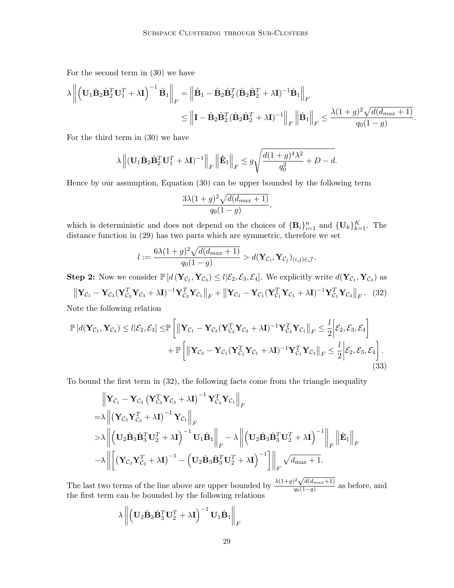For the second term in [\(30\)](#page-27-0) we have

$$
\lambda \left\| \left( \mathbf{U}_{1} \hat{\mathbf{B}}_{2} \hat{\mathbf{B}}_{2}^{T} \mathbf{U}_{1}^{T} + \lambda \mathbf{I} \right)^{-1} \hat{\mathbf{B}}_{1} \right\|_{F} = \left\| \hat{\mathbf{B}}_{1} - \hat{\mathbf{B}}_{2} \hat{\mathbf{B}}_{2}^{T} (\hat{\mathbf{B}}_{2} \hat{\mathbf{B}}_{2}^{T} + \lambda \mathbf{I})^{-1} \hat{\mathbf{B}}_{1} \right\|_{F}
$$
  

$$
\leq \left\| \mathbf{I} - \hat{\mathbf{B}}_{2} \hat{\mathbf{B}}_{2}^{T} (\hat{\mathbf{B}}_{2} \hat{\mathbf{B}}_{2}^{T} + \lambda \mathbf{I})^{-1} \right\|_{F} \left\| \hat{\mathbf{B}}_{1} \right\|_{F} \leq \frac{\lambda (1 + g)^{2} \sqrt{d(d_{max} + 1)}}{q_{0}(1 - g)}
$$

<span id="page-28-1"></span><span id="page-28-0"></span>.

For the third term in [\(30\)](#page-27-0) we have

$$
\lambda \left\| (\mathbf{U}_1 \hat{\mathbf{B}}_2 \hat{\mathbf{B}}_2^T \mathbf{U}_1^T + \lambda \mathbf{I})^{-1} \right\|_F \left\| \hat{\mathbf{E}}_1 \right\|_F \le g \sqrt{\frac{d(1+g)^4 \lambda^2}{q_0^2} + D - d}.
$$

Hence by our assumption, Equation [\(30\)](#page-27-0) can be upper bounded by the following term

$$
\frac{3\lambda(1+g)^2\sqrt{d(d_{max}+1)}}{q_0(1-g)},
$$

which is deterministic and does not depend on the choices of  ${\bf B}_i\}_{i=1}^n$  and  ${\bf \{U}_k\}_{k=1}^K$ . The distance function in  $(29)$  has two parts which are symmetric, therefore we set

$$
l := \frac{6\lambda(1+g)^2\sqrt{d(d_{max}+1)}}{q_0(1-g)} > d(\mathbf{Y}_{\mathcal{C}_i}, \mathbf{Y}_{\mathcal{C}_j})_{(i,j)\in\mathcal{J}}.
$$

**Step 2:** Now we consider  $\mathbb{P}\left[d\left(\mathbf{Y}_{\mathcal{C}_1}, \mathbf{Y}_{\mathcal{C}_3}\right) \leq l \middle| \mathcal{E}_2, \mathcal{E}_3, \mathcal{E}_4\right]$ . We explicitly write  $d(\mathbf{Y}_{\mathcal{C}_1}, \mathbf{Y}_{\mathcal{C}_3})$  as

$$
\|\mathbf{Y}_{\mathcal{C}_1} - \mathbf{Y}_{\mathcal{C}_3} (\mathbf{Y}_{\mathcal{C}_3}^T \mathbf{Y}_{\mathcal{C}_3} + \lambda \mathbf{I})^{-1} \mathbf{Y}_{\mathcal{C}_3}^T \mathbf{Y}_{\mathcal{C}_1}\|_F + \|\mathbf{Y}_{\mathcal{C}_3} - \mathbf{Y}_{\mathcal{C}_1} (\mathbf{Y}_{\mathcal{C}_1}^T \mathbf{Y}_{\mathcal{C}_1} + \lambda \mathbf{I})^{-1} \mathbf{Y}_{\mathcal{C}_1}^T \mathbf{Y}_{\mathcal{C}_3}\|_F. \tag{32}
$$

Note the following relation

$$
\mathbb{P}\left[d(\mathbf{Y}_{\mathcal{C}_1},\mathbf{Y}_{\mathcal{C}_3})\leq l|\mathcal{E}_2,\mathcal{E}_3\right] \leq \mathbb{P}\left[\left\|\mathbf{Y}_{\mathcal{C}_1}-\mathbf{Y}_{\mathcal{C}_3}(\mathbf{Y}_{\mathcal{C}_3}^T\mathbf{Y}_{\mathcal{C}_3}+\lambda\mathbf{I})^{-1}\mathbf{Y}_{\mathcal{C}_3}^T\mathbf{Y}_{\mathcal{C}_1}\right\|_F\leq \frac{l}{2}\bigg|\mathcal{E}_2,\mathcal{E}_3,\mathcal{E}_4\bigg] + \mathbb{P}\left[\left\|\mathbf{Y}_{\mathcal{C}_3}-\mathbf{Y}_{\mathcal{C}_1}(\mathbf{Y}_{\mathcal{C}_1}^T\mathbf{Y}_{\mathcal{C}_1}+\lambda\mathbf{I})^{-1}\mathbf{Y}_{\mathcal{C}_1}^T\mathbf{Y}_{\mathcal{C}_3}\right\|_F\leq \frac{l}{2}\bigg|\mathcal{E}_2,\mathcal{E}_3,\mathcal{E}_4\right].
$$
\n(33)

To bound the first term in [\(32\)](#page-28-0), the following facts come from the triangle inequality

$$
\|\mathbf{Y}_{\mathcal{C}_1} - \mathbf{Y}_{\mathcal{C}_3} (\mathbf{Y}_{\mathcal{C}_3}^T \mathbf{Y}_{\mathcal{C}_3} + \lambda \mathbf{I})^{-1} \mathbf{Y}_{\mathcal{C}_3}^T \mathbf{Y}_{\mathcal{C}_1}\|_F \n= \lambda \left\| (\mathbf{Y}_{\mathcal{C}_3} \mathbf{Y}_{\mathcal{C}_3}^T + \lambda \mathbf{I})^{-1} \mathbf{Y}_{\mathcal{C}_1} \right\|_F \n> \lambda \left\| (\mathbf{U}_2 \hat{\mathbf{B}}_3 \hat{\mathbf{B}}_3^T \mathbf{U}_2^T + \lambda \mathbf{I})^{-1} \mathbf{U}_1 \hat{\mathbf{B}}_1 \right\|_F - \lambda \left\| (\mathbf{U}_2 \hat{\mathbf{B}}_3 \hat{\mathbf{B}}_3^T \mathbf{U}_2^T + \lambda \mathbf{I})^{-1} \right\|_F \left\| \hat{\mathbf{E}}_1 \right\|_F \n- \lambda \left\| \left[ (\mathbf{Y}_{\mathcal{C}_3} \mathbf{Y}_{\mathcal{C}_3}^T + \lambda \mathbf{I})^{-1} - (\mathbf{U}_2 \hat{\mathbf{B}}_3 \hat{\mathbf{B}}_3^T \mathbf{U}_2^T + \lambda \mathbf{I})^{-1} \right] \right\|_F \sqrt{d_{\max} + 1}.
$$

The last two terms of the line above are upper bounded by  $\frac{\lambda(1+g)^2\sqrt{d(d_{max}+1)}}{g_0(1-g)}$  $\frac{\sqrt{u(a_{max}+1)}}{q_0(1-g)}$  as before, and the first term can be bounded by the following relations

$$
\lambda \left\| \left(\mathbf{U}_2\hat{\mathbf{B}}_3\hat{\mathbf{B}}_3^T\mathbf{U}_2^T + \lambda\mathbf{I} \right)^{-1}\mathbf{U}_1\hat{\mathbf{B}}_1 \right\|_F
$$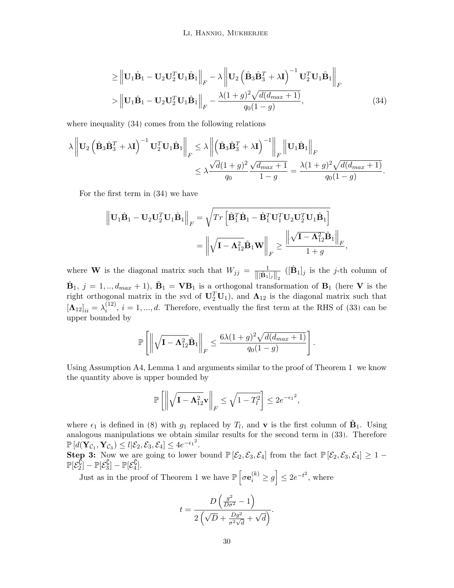<span id="page-29-0"></span>Li, Hannig, Mukherjee

$$
\geq \left\| \mathbf{U}_1 \hat{\mathbf{B}}_1 - \mathbf{U}_2 \mathbf{U}_2^T \mathbf{U}_1 \hat{\mathbf{B}}_1 \right\|_F - \lambda \left\| \mathbf{U}_2 \left( \hat{\mathbf{B}}_3 \hat{\mathbf{B}}_3^T + \lambda \mathbf{I} \right)^{-1} \mathbf{U}_2^T \mathbf{U}_1 \hat{\mathbf{B}}_1 \right\|_F
$$
  
> 
$$
\left\| \mathbf{U}_1 \hat{\mathbf{B}}_1 - \mathbf{U}_2 \mathbf{U}_2^T \mathbf{U}_1 \hat{\mathbf{B}}_1 \right\|_F - \frac{\lambda (1+g)^2 \sqrt{d(d_{max}+1)}}{q_0 (1-g)},
$$
(34)

where inequality  $(34)$  comes from the following relations

$$
\lambda \left\| \mathbf{U}_2 \left( \hat{\mathbf{B}}_3 \hat{\mathbf{B}}_3^T + \lambda \mathbf{I} \right)^{-1} \mathbf{U}_2^T \mathbf{U}_1 \hat{\mathbf{B}}_1 \right\|_F \leq \lambda \left\| \left( \hat{\mathbf{B}}_3 \hat{\mathbf{B}}_3^T + \lambda \mathbf{I} \right)^{-1} \right\|_F \left\| \mathbf{U}_1 \hat{\mathbf{B}}_1 \right\|_F
$$
  

$$
\leq \lambda \frac{\sqrt{d} (1+g)^2 \sqrt{d_{max}+1}}{q_0} = \frac{\lambda (1+g)^2 \sqrt{d(d_{max}+1)}}{q_0(1-g)}.
$$

For the first term in [\(34\)](#page-29-0) we have

$$
\begin{aligned}\n\left\|\mathbf{U}_{1}\hat{\mathbf{B}}_{1}-\mathbf{U}_{2}\mathbf{U}_{2}^{T}\mathbf{U}_{1}\hat{\mathbf{B}}_{1}\right\|_{F} &= \sqrt{Tr\left[\hat{\mathbf{B}}_{1}^{T}\hat{\mathbf{B}}_{1}-\hat{\mathbf{B}}_{1}^{T}\mathbf{U}_{1}^{T}\mathbf{U}_{2}\mathbf{U}_{2}^{T}\mathbf{U}_{1}\hat{\mathbf{B}}_{1}\right]} \\
&= \left\|\sqrt{\mathbf{I}-\mathbf{\Lambda}_{12}^{2}}\tilde{\mathbf{B}}_{1}\mathbf{W}\right\|_{F} \ge \frac{\left\|\sqrt{\mathbf{I}-\mathbf{\Lambda}_{12}^{2}}\tilde{\mathbf{B}}_{1}\right\|_{F}}{1+g},\n\end{aligned}
$$

where **W** is the diagonal matrix such that  $W_{jj} = \frac{1}{\|[\hat{\mathbf{B}}_1]_j\|_2}$  $([\hat{B}_1]_j$  is the *j*-th column of  $\hat{\mathbf{B}}_1$ ,  $j = 1, ..., d_{max} + 1$ ,  $\tilde{\mathbf{B}}_1 = \mathbf{V} \mathbf{B}_1$  is a orthogonal transformation of  $\mathbf{B}_1$  (here V is the right orthogonal matrix in the svd of  $\mathbf{U}_2^T\mathbf{U}_1$ , and  $\mathbf{\Lambda}_{12}$  is the diagonal matrix such that  $[\mathbf{\Lambda}_{12}]_{ii} = \lambda_i^{(12)}$  $i^{(12)}$ ,  $i = 1, ..., d$ . Therefore, eventually the first term at the RHS of [\(33\)](#page-28-1) can be upper bounded by

$$
\mathbb{P}\left[\left\|\sqrt{\mathbf{I}-\mathbf{\Lambda}^2_{12}}\tilde{\mathbf{B}}_1\right\|_F \leq \frac{6\lambda(1+g)^2\sqrt{d(d_{max}+1)}}{q_0(1-g)}\right].
$$

Using Assumption A4, Lemma [1](#page-17-2) and arguments similar to the proof of Theorem [1,](#page-8-0) we know the quantity above is upper bounded by

$$
\mathbb{P}\left[\left\|\sqrt{\mathbf{I}-\mathbf{\Lambda}_{12}^2}\mathbf{v}\right\|_F\leq \sqrt{1-T_l^2}\right] \leq 2e^{-\epsilon_1^2},
$$

where  $\epsilon_1$  is defined in [\(8\)](#page-8-2) with  $g_1$  replaced by  $T_l$ , and **v** is the first column of  $\tilde{\mathbf{B}}_1$ . Using analogous manipulations we obtain similar results for the second term in [\(33\)](#page-28-1). Therefore  $\mathbb{P}\left[d(\mathbf{Y}_{\mathcal{C}_1},\mathbf{Y}_{\mathcal{C}_3})\leq l|\mathcal{E}_2,\mathcal{E}_3,\mathcal{E}_4\right]\leq 4e^{-\epsilon_1^2}.$ 

Step 3: Now we are going to lower bound  $\mathbb{P}[\mathcal{E}_2,\mathcal{E}_3,\mathcal{E}_4]$  from the fact  $\mathbb{P}[\mathcal{E}_2,\mathcal{E}_3,\mathcal{E}_4] \geq 1$  $\mathbb{P}[\mathcal{E}_2^{\bar{\mathbb{C}}}$  $\frac{\mathcal{C}}{2}]-\mathbb{P}[\mathcal{E}_3^\complement$  $[\mathcal{E}_3^\complement]-\mathbb{P}[\mathcal{E}_4^\complement]$ يا $\left[ \frac{1}{4}\right]$ .

Just as in the proof of Theorem [1](#page-8-0) we have  $\mathbb{P}\left[\sigma \mathbf{e}_i^{(k)} \ge g\right] \le 2e^{-t^2}$ , where

$$
t = \frac{D\left(\frac{g^2}{D\sigma^2} - 1\right)}{2\left(\sqrt{D} + \frac{Dg^2}{\sigma^2\sqrt{d}} + \sqrt{d}\right)}.
$$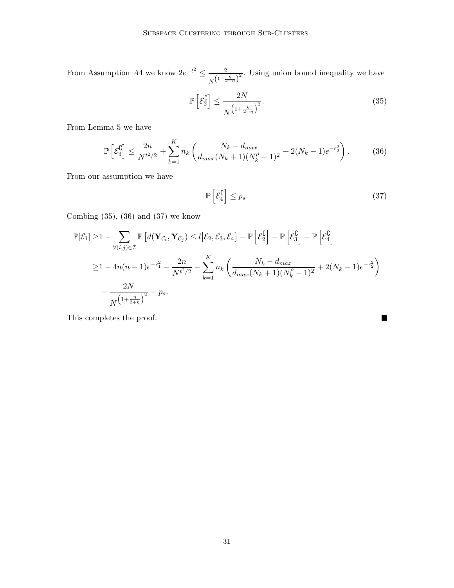From Assumption A4 we know  $2e^{-t^2} \leq \frac{2}{\sqrt{t}}$  $\frac{2}{N^{\left(1+\frac{\eta}{2+\eta}\right)^2}}$ . Using union bound inequality we have

<span id="page-30-0"></span>
$$
\mathbb{P}\left[\mathcal{E}_2^{\complement}\right] \le \frac{2N}{N^{\left(1 + \frac{\eta}{2 + \eta}\right)^2}}.\tag{35}
$$

From Lemma [5](#page-21-0) we have

$$
\mathbb{P}\left[\mathcal{E}_3^{\complement}\right] \le \frac{2n}{N^{t^2/2}} + \sum_{k=1}^K n_k \left(\frac{N_k - d_{max}}{d_{max}(N_k + 1)(N_k^{\rho} - 1)^2} + 2(N_k - 1)e^{-\epsilon_2^2}\right). \tag{36}
$$

From our assumption we have

$$
\mathbb{P}\left[\mathcal{E}_4^{\complement}\right] \le p_s. \tag{37}
$$

<span id="page-30-2"></span><span id="page-30-1"></span> $\blacksquare$ 

Combing  $(35)$ ,  $(36)$  and  $(37)$  we know

$$
\mathbb{P}[\mathcal{E}_1] \geq 1 - \sum_{\forall (i,j) \in \mathcal{I}} \mathbb{P}\left[d(\mathbf{Y}_{\mathcal{C}_i}, \mathbf{Y}_{\mathcal{C}_j}) \leq l | \mathcal{E}_2, \mathcal{E}_3, \mathcal{E}_4\right] - \mathbb{P}\left[\mathcal{E}_2^{\complement}\right] - \mathbb{P}\left[\mathcal{E}_3^{\complement}\right] - \mathbb{P}\left[\mathcal{E}_4^{\complement}\right]
$$
\n
$$
\geq 1 - 4n(n-1)e^{-\epsilon_1^2} - \frac{2n}{N^{t^2/2}} - \sum_{k=1}^K n_k \left(\frac{N_k - d_{max}}{d_{max}(N_k + 1)(N_k^{\rho} - 1)^2} + 2(N_k - 1)e^{-\epsilon_2^2}\right)
$$
\n
$$
-\frac{2N}{N^{\left(1 + \frac{\eta}{2 + \eta}\right)^2}} - p_s.
$$

This completes the proof.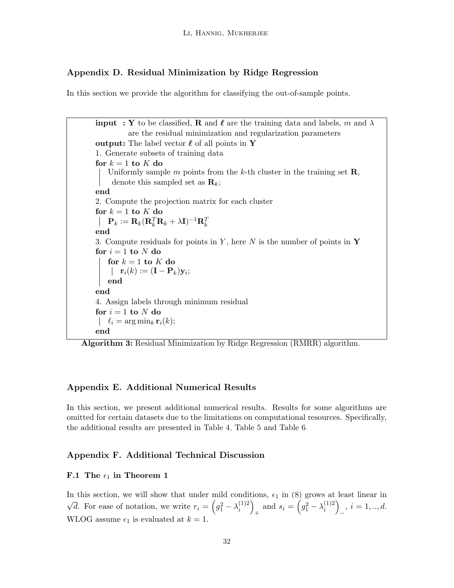## <span id="page-31-1"></span>Appendix D. Residual Minimization by Ridge Regression

In this section we provide the algorithm for classifying the out-of-sample points.

**input** : Y to be classified, R and  $\ell$  are the training data and labels, m and  $\lambda$ are the residual minimization and regularization parameters output: The label vector  $\ell$  of all points in Y 1. Generate subsets of training data for  $k = 1$  to  $K$  do Uniformly sample m points from the k-th cluster in the training set  $\mathbf{R}$ , denote this sampled set as  $\mathbf{R}_k$ ; end 2. Compute the projection matrix for each cluster for  $k = 1$  to  $K$  do  $\mathbf{P}_k := \mathbf{R}_k (\mathbf{R}_k^T \mathbf{R}_k + \lambda \mathbf{I})^{-1} \mathbf{R}_k^T$ end 3. Compute residuals for points in Y, here N is the number of points in Y for  $i = 1$  to N do for  $k = 1$  to  $K$  do  $\mathbf{r}_i(k) := (\mathbf{I} - \mathbf{P}_k)\mathbf{y}_i;$ end end 4. Assign labels through minimum residual for  $i = 1$  to N do  $\int$   $\ell_i = \arg \min_k \mathbf{r}_i(k);$ end

Algorithm 3: Residual Minimization by Ridge Regression (RMRR) algorithm.

## <span id="page-31-0"></span>Appendix E. Additional Numerical Results

In this section, we present additional numerical results. Results for some algorithms are omitted for certain datasets due to the limitations on computational resources. Specifically, the additional results are presented in Table [4,](#page-32-0) Table [5](#page-32-1) and Table [6.](#page-32-2)

## <span id="page-31-2"></span>Appendix F. Additional Technical Discussion

#### F.1 The  $\epsilon_1$  in Theorem [1](#page-8-0)

In this section, we will show that under mild conditions,  $\epsilon_1$  in [\(8\)](#page-8-2) grows at least linear in √  $\overline{d}$ . For ease of notation, we write  $r_i = (g_1^2 - \lambda_i^{(1)2})$  $\binom{1}{i}$ + and  $s_i = (g_1^2 - \lambda_i^{(1)2})$  $\binom{1}{i}$  $i = 1, \ldots, d.$ WLOG assume  $\epsilon_1$  is evaluated at  $k = 1$ .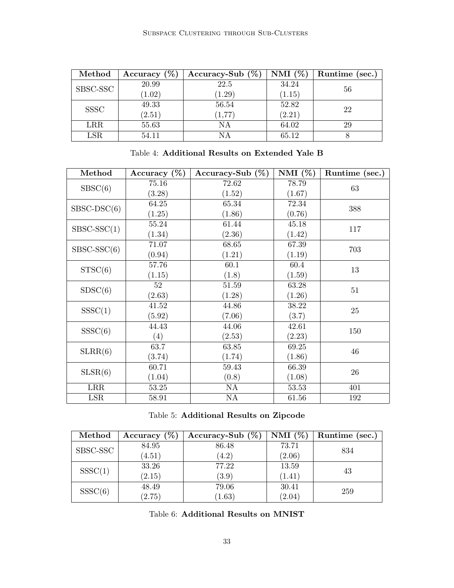<span id="page-32-0"></span>

| Method      | Accuracy $(\%)$ | Accuracy-Sub $(\%)$ | NMI $(\%)$ | Runtime (sec.) |
|-------------|-----------------|---------------------|------------|----------------|
| SBSC-SSC    | 20.99           | 22.5                | 34.24      | 56             |
|             | (1.02)          | (1.29)              | (1.15)     |                |
| <b>SSSC</b> | 49.33           | 56.54               | 52.82      | 22             |
|             | (2.51)          | (1, 77)             | (2.21)     |                |
| <b>LRR</b>  | 55.63           | NΑ                  | 64.02      | 29             |
| LSR         | 54.11           | NΑ                  | 65.12      |                |

| Table 4: Additional Results on Extended Yale B |  |
|------------------------------------------------|--|
|------------------------------------------------|--|

<span id="page-32-1"></span>

| Method        | Accuracy $(\%)$ | Accuracy-Sub $(\%)$ | NMI $(\%)$ | Runtime (sec.) |  |
|---------------|-----------------|---------------------|------------|----------------|--|
| S BSC(6)      | 75.16           | 72.62               | 78.79      | 63             |  |
|               | (3.28)          | (1.52)              | (1.67)     |                |  |
| $SBSC-DSC(6)$ | 64.25           | 65.34               | 72.34      | 388            |  |
|               | (1.25)          | (1.86)              | (0.76)     |                |  |
| $SBSC-SSC(1)$ | 55.24           | 61.44               | 45.18      | 117            |  |
|               | (1.34)          | (2.36)              | (1.42)     |                |  |
| $SBSC-SSC(6)$ | 71.07           | 68.65               | 67.39      | 703            |  |
|               | (0.94)          | (1.21)              | (1.19)     |                |  |
| STSC(6)       | 57.76           | 60.1                | 60.4       | 13             |  |
|               | (1.15)          | (1.8)               | (1.59)     |                |  |
| SDSC(6)       | 52              | $51.59\,$           | 63.28      | 51             |  |
|               | (2.63)          | (1.28)              | (1.26)     |                |  |
| SSSC(1)       | 41.52           | 44.86               | 38.22      | 25             |  |
|               | (5.92)          | (7.06)              | (3.7)      |                |  |
| SSSC(6)       | 44.43           | 44.06               | 42.61      | 150            |  |
|               | (4)             | (2.53)              | (2.23)     |                |  |
| SLRR(6)       | 63.7            | 63.85               | 69.25      | 46             |  |
|               | (3.74)          | (1.74)              | (1.86)     |                |  |
| SLSR(6)       | 60.71           | 59.43               | 66.39      | 26             |  |
|               | (1.04)          | (0.8)               | (1.08)     |                |  |
| LRR           | $53.25\,$       | NA                  | 53.53      | 401            |  |
| LSR           | 58.91           | $\mathrm{NA}$       | 61.56      | 192            |  |

|  | Table 5: Additional Results on Zipcode |  |  |  |
|--|----------------------------------------|--|--|--|
|--|----------------------------------------|--|--|--|

<span id="page-32-2"></span>

| Method   | Accuracy $(\%)$ | Accuracy-Sub $(\%)$ | NMI $(\%)$ | Runtime (sec.) |
|----------|-----------------|---------------------|------------|----------------|
| SBSC-SSC | 84.95           | 86.48               | 73.71      | 834            |
|          | (4.51)          | (4.2)               | (2.06)     |                |
| SSSC(1)  | 33.26           | 77.22               | 13.59      | 43             |
|          | (2.15)          | (3.9)               | (1.41)     |                |
| SSSC(6)  | 48.49           | 79.06               | 30.41      | 259            |
|          | (2.75)          | (1.63)              | (2.04)     |                |

Table 6: Additional Results on MNIST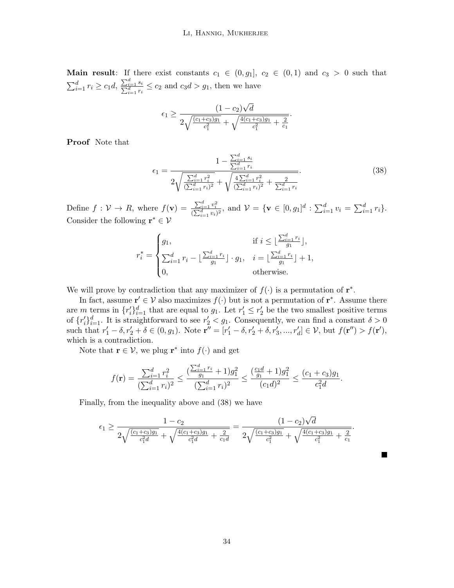Main result: If there exist constants  $c_1 \in (0, g_1], c_2 \in (0, 1)$  and  $c_3 > 0$  such that  $\sum_{i=1}^d r_i \geq c_1 d, \frac{\sum_{i=1}^d r_i}{\sum_{i=1}^d r_i}$  $\frac{\sum_{i=1}^{d} s_i}{d} \leq c_2$  and  $c_3d > g_1$ , then we have

$$
\epsilon_1 \ge \frac{(1 - c_2)\sqrt{d}}{2\sqrt{\frac{(c_1 + c_3)g_1}{c_1^2}} + \sqrt{\frac{4(c_1 + c_3)g_1}{c_1^2} + \frac{2}{c_1}}}
$$

Proof Note that

$$
\epsilon_1 = \frac{1 - \frac{\sum_{i=1}^d s_i}{\sum_{i=1}^d r_i}}{2\sqrt{\frac{\sum_{i=1}^d r_i^2}{(\sum_{i=1}^d r_i)^2} + \sqrt{\frac{4\sum_{i=1}^d r_i^2}{(\sum_{i=1}^d r_i)^2} + \frac{2}{\sum_{i=1}^d r_i}}}}.
$$
(38)

<span id="page-33-0"></span>.

ш

Define  $f: \mathcal{V} \to R$ , where  $f(\mathbf{v}) = \frac{\sum_{i=1}^{d} v_i^2}{(\sum_{i=1}^{d} v_i)^2}$ , and  $\mathcal{V} = {\mathbf{v} \in [0, g_1]^d : \sum_{i=1}^{d} v_i = \sum_{i=1}^{d} r_i}.$ Consider the following  $\mathbf{r}^* \in \mathcal{V}$ 

$$
r_i^* = \begin{cases} g_1, & \text{if } i \leq \lfloor \frac{\sum_{i=1}^d r_i}{g_1} \rfloor, \\ \sum_{i=1}^d r_i - \lfloor \frac{\sum_{i=1}^d r_i}{g_1} \rfloor \cdot g_1, & i = \lfloor \frac{\sum_{i=1}^d r_i}{g_1} \rfloor + 1, \\ 0, & \text{otherwise.} \end{cases}
$$

We will prove by contradiction that any maximizer of  $f(\cdot)$  is a permutation of  $\mathbf{r}^*$ .

In fact, assume  $\mathbf{r}' \in \mathcal{V}$  also maximizes  $f(\cdot)$  but is not a permutation of  $\mathbf{r}^*$ . Assume there are m terms in  $\{r_i'\}_{i=1}^d$  that are equal to  $g_1$ . Let  $r_1' \leq r_2'$  be the two smallest positive terms of  $\{r'_i\}_{i=1}^d$ . It is straightforward to see  $r'_2 < g_1$ . Consequently, we can find a constant  $\delta > 0$ such that  $r'_1 - \delta, r'_2 + \delta \in (0, g_1)$ . Note  $\mathbf{r}'' = [r'_1 - \delta, r'_2 + \delta, r'_3, ..., r'_d] \in \mathcal{V}$ , but  $f(\mathbf{r}'') > f(\mathbf{r}')$ , which is a contradiction.

Note that  $\mathbf{r} \in \mathcal{V}$ , we plug  $\mathbf{r}^*$  into  $f(\cdot)$  and get

$$
f(\mathbf{r}) = \frac{\sum_{i=1}^{d} r_i^2}{(\sum_{i=1}^{d} r_i)^2} \le \frac{(\frac{\sum_{i=1}^{d} r_i}{g_1} + 1)g_1^2}{(\sum_{i=1}^{d} r_i)^2} \le \frac{(\frac{c_1 d}{g_1} + 1)g_1^2}{(c_1 d)^2} \le \frac{(c_1 + c_3)g_1}{c_1^2 d}.
$$

Finally, from the inequality above and [\(38\)](#page-33-0) we have

$$
\epsilon_1 \ge \frac{1-c_2}{2\sqrt{\frac{(c_1+c_3)g_1}{c_1^2d}}}+\sqrt{\frac{4(c_1+c_3)g_1}{c_1^2d}+\frac{2}{c_1d}}}=\frac{(1-c_2)\sqrt{d}}{2\sqrt{\frac{(c_1+c_3)g_1}{c_1^2}}+\sqrt{\frac{4(c_1+c_3)g_1}{c_1^2}}+\frac{2}{c_1}}}.
$$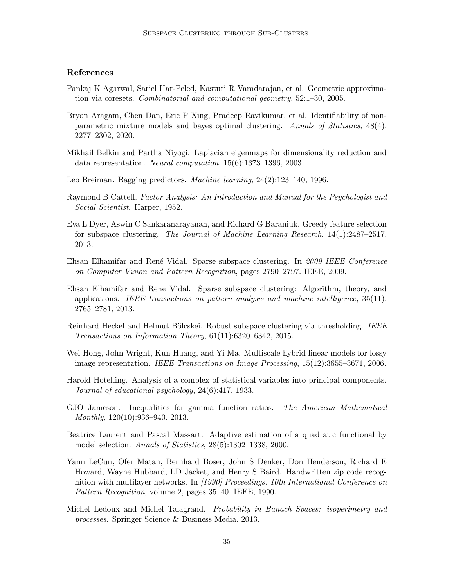## References

- <span id="page-34-10"></span>Pankaj K Agarwal, Sariel Har-Peled, Kasturi R Varadarajan, et al. Geometric approximation via coresets. Combinatorial and computational geometry, 52:1–30, 2005.
- <span id="page-34-8"></span>Bryon Aragam, Chen Dan, Eric P Xing, Pradeep Ravikumar, et al. Identifiability of nonparametric mixture models and bayes optimal clustering. Annals of Statistics, 48(4): 2277–2302, 2020.
- <span id="page-34-2"></span>Mikhail Belkin and Partha Niyogi. Laplacian eigenmaps for dimensionality reduction and data representation. Neural computation, 15(6):1373–1396, 2003.
- <span id="page-34-11"></span>Leo Breiman. Bagging predictors. *Machine learning*, 24(2):123–140, 1996.
- <span id="page-34-1"></span>Raymond B Cattell. Factor Analysis: An Introduction and Manual for the Psychologist and Social Scientist. Harper, 1952.
- <span id="page-34-7"></span>Eva L Dyer, Aswin C Sankaranarayanan, and Richard G Baraniuk. Greedy feature selection for subspace clustering. The Journal of Machine Learning Research, 14(1):2487–2517, 2013.
- <span id="page-34-3"></span>Ehsan Elhamifar and Ren´e Vidal. Sparse subspace clustering. In 2009 IEEE Conference on Computer Vision and Pattern Recognition, pages 2790–2797. IEEE, 2009.
- <span id="page-34-5"></span>Ehsan Elhamifar and Rene Vidal. Sparse subspace clustering: Algorithm, theory, and applications. IEEE transactions on pattern analysis and machine intelligence, 35(11): 2765–2781, 2013.
- <span id="page-34-6"></span>Reinhard Heckel and Helmut Bölcskei. Robust subspace clustering via thresholding. IEEE Transactions on Information Theory, 61(11):6320–6342, 2015.
- <span id="page-34-4"></span>Wei Hong, John Wright, Kun Huang, and Yi Ma. Multiscale hybrid linear models for lossy image representation. IEEE Transactions on Image Processing, 15(12):3655–3671, 2006.
- <span id="page-34-0"></span>Harold Hotelling. Analysis of a complex of statistical variables into principal components. Journal of educational psychology, 24(6):417, 1933.
- GJO Jameson. Inequalities for gamma function ratios. The American Mathematical Monthly, 120(10):936–940, 2013.
- <span id="page-34-12"></span>Beatrice Laurent and Pascal Massart. Adaptive estimation of a quadratic functional by model selection. Annals of Statistics, 28(5):1302–1338, 2000.
- <span id="page-34-9"></span>Yann LeCun, Ofer Matan, Bernhard Boser, John S Denker, Don Henderson, Richard E Howard, Wayne Hubbard, LD Jacket, and Henry S Baird. Handwritten zip code recognition with multilayer networks. In [1990] Proceedings. 10th International Conference on Pattern Recognition, volume 2, pages 35–40. IEEE, 1990.
- <span id="page-34-13"></span>Michel Ledoux and Michel Talagrand. Probability in Banach Spaces: isoperimetry and processes. Springer Science & Business Media, 2013.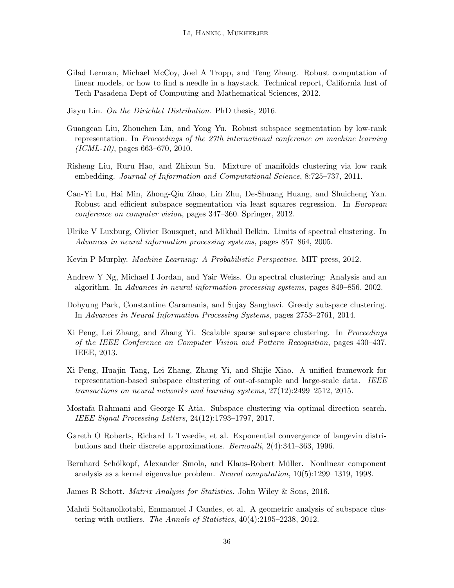- <span id="page-35-8"></span>Gilad Lerman, Michael McCoy, Joel A Tropp, and Teng Zhang. Robust computation of linear models, or how to find a needle in a haystack. Technical report, California Inst of Tech Pasadena Dept of Computing and Mathematical Sciences, 2012.
- <span id="page-35-13"></span>Jiayu Lin. On the Dirichlet Distribution. PhD thesis, 2016.
- <span id="page-35-10"></span>Guangcan Liu, Zhouchen Lin, and Yong Yu. Robust subspace segmentation by low-rank representation. In Proceedings of the 27th international conference on machine learning  $(ICML-10)$ , pages 663–670, 2010.
- <span id="page-35-1"></span>Risheng Liu, Ruru Hao, and Zhixun Su. Mixture of manifolds clustering via low rank embedding. Journal of Information and Computational Science, 8:725–737, 2011.
- <span id="page-35-9"></span>Can-Yi Lu, Hai Min, Zhong-Qiu Zhao, Lin Zhu, De-Shuang Huang, and Shuicheng Yan. Robust and efficient subspace segmentation via least squares regression. In European conference on computer vision, pages 347–360. Springer, 2012.
- <span id="page-35-7"></span>Ulrike V Luxburg, Olivier Bousquet, and Mikhail Belkin. Limits of spectral clustering. In Advances in neural information processing systems, pages 857–864, 2005.
- <span id="page-35-14"></span>Kevin P Murphy. Machine Learning: A Probabilistic Perspective. MIT press, 2012.
- <span id="page-35-2"></span>Andrew Y Ng, Michael I Jordan, and Yair Weiss. On spectral clustering: Analysis and an algorithm. In Advances in neural information processing systems, pages 849–856, 2002.
- <span id="page-35-5"></span>Dohyung Park, Constantine Caramanis, and Sujay Sanghavi. Greedy subspace clustering. In Advances in Neural Information Processing Systems, pages 2753–2761, 2014.
- <span id="page-35-11"></span>Xi Peng, Lei Zhang, and Zhang Yi. Scalable sparse subspace clustering. In Proceedings of the IEEE Conference on Computer Vision and Pattern Recognition, pages 430–437. IEEE, 2013.
- <span id="page-35-6"></span>Xi Peng, Huajin Tang, Lei Zhang, Zhang Yi, and Shijie Xiao. A unified framework for representation-based subspace clustering of out-of-sample and large-scale data. IEEE transactions on neural networks and learning systems, 27(12):2499–2512, 2015.
- <span id="page-35-4"></span>Mostafa Rahmani and George K Atia. Subspace clustering via optimal direction search. IEEE Signal Processing Letters, 24(12):1793–1797, 2017.
- <span id="page-35-12"></span>Gareth O Roberts, Richard L Tweedie, et al. Exponential convergence of langevin distributions and their discrete approximations. Bernoulli, 2(4):341–363, 1996.
- <span id="page-35-0"></span>Bernhard Schölkopf, Alexander Smola, and Klaus-Robert Müller. Nonlinear component analysis as a kernel eigenvalue problem. Neural computation, 10(5):1299–1319, 1998.
- <span id="page-35-15"></span>James R Schott. Matrix Analysis for Statistics. John Wiley & Sons, 2016.
- <span id="page-35-3"></span>Mahdi Soltanolkotabi, Emmanuel J Candes, et al. A geometric analysis of subspace clustering with outliers. The Annals of Statistics, 40(4):2195–2238, 2012.